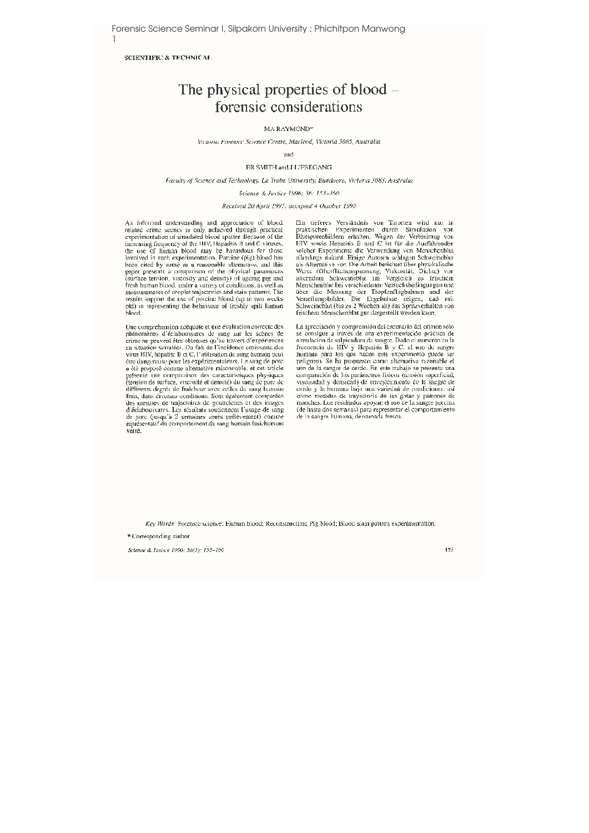Forensic Science Seminar I, Silpakorn University: Phichitpon Manwong -1

**SCIENTIFIC & TECHNICAL** 

# The physical properties of  $blood$ forensic considerations

#### MA RAYMOND\*

Victoria Forensic Science Centre, Macleod, Victoria 3085, Australia

and

#### ER SMITH and J LIESEGANG

#### Faculty of Science and Technology. La Trobe University, Bundoora, Victoria 3083. Australia

#### Science & Justice 1996; 36: 153-160

Received 20 April 1995: accepted 4 October 1995

An informed understanding and appreciation of blood related crime scenes is only achieved through practical experimentation of simulated blood spatter. Because of the increasing frequency of the HIV. Hepatitis B and C viruses, the use of human blood may be hazardous for those involved in such experimentation. Porcine (pig) blood has been cited by some as a reasonable alternative, and this paper presents a comparison of the physical parameters (surface tension, viscosity and density) of ageing pig and fresh human blood, under a variety of conditions, as well as measurements of droplet trajectories and stain patterns. The results support the use of porcine blood (up to two weeks old) in representing the behaviour of freshly spilt human blood.

Une compréhension adéquate et une évaluation correcte des phénomènes d'éclaboussures de sang sur les scènes de crime ne peuvent être obtenues qu'au travers d'expériences en situation simulées. Du fait de l'incidence croissante des virus HIV, hépatite B et C, l'utilisation de sang homain peut être dangereuse pour les expérimentateurs. Le sang de porc a été proposé comme alternative raisonnable, et cet article. présente une comparaison des caractéristiques physiques (tension de surface, viscosité et densité) du sang de porc de différents degrés de fraîcheur avec celles du sang lumain frais, dans diverses conditions. Sont également comparées des mesures de trajectoires de gouttelettes et des images d'éclaboussures. Les résultats soutiennent l'usage de sang de porc (jusqu'à 2 semaines après prélèvement) comme représentatif du comportement du sang humain fraichement versé.

Ein tieferes Verständnis von Tatorten wird nur in praktischen Experimenten durch Simulation von Blutspurenbildern erhalten. Wegen der Verbreitung von HIV sowie Hepatitis B und C ist für die Ausführenden solcher Experimente die Verwendung von Menschenblut allerdings riskant. Einige Autoren schlagen Schweineblutals Alternative vor. Die Arbeit berichtet über physikalische Werte (Oberflächenspannung, Viskosität, Dichte) von alterndem Schweineblut im Vergleich zu frischem Menschenblut bei verschiedenen Versuchsbedingungen und über die Messung der Tropfenflugbahnen und der Verteilungsbilder. Die Ergebnisse zeigen, daß mit Schweineblut (bis zu 2 Wochen alt) das Spritzverhalten von frischem Menschenblut gut dargestellt werden kann.

La apreciación y comprensión del escenario del crimen sólo se consigue a través de una experimentación práctica de simulación de salpicadura de sangre. Dado el aumento en la frecuencia de HIV y Hepatitis B y C, el uso de sangre humana para los que hacen este experimento puede ser peligroso. Se ha propuesto como alternativa razonable el uso de la sangre de cerdo. En este trabajo se presenta una comparación de los parámetros fisicos (tensión superficial, viscosidad y densidad) de envejecimiento de la sangre de cerdo y la humana baio una variedad de condiciones, así como medidas de trayectoria de las gotas y patrones de manchas. Los resultados apoyan el uso de la sangre porcina (de hasta dos semanas) para representar el comportamiento de la sangre humana, derramada fresca.

Key Words: Forensic science: Human blood; Reconstruction; Pig blood; Blood stain pattern experimentation.

\* Corresponding author

Science & Justice 1996: 36(3): 153-160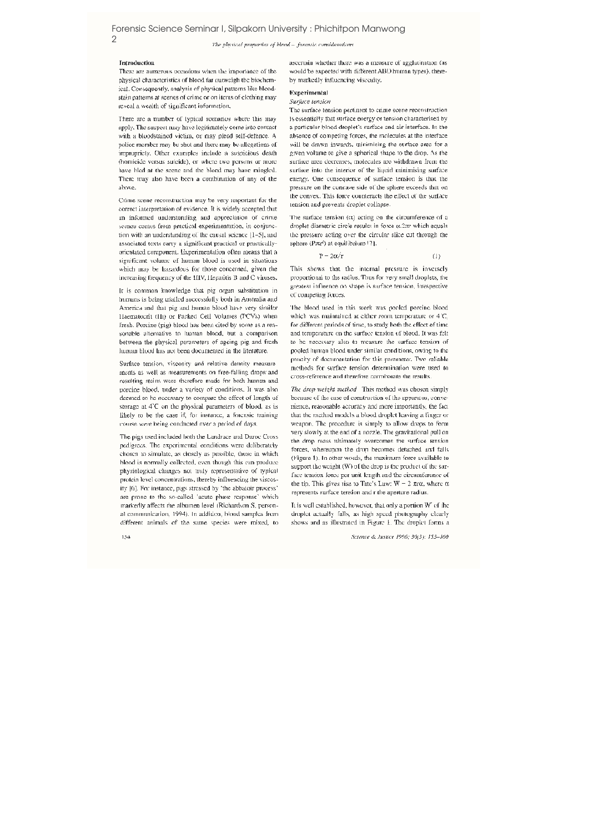### Forensic Science Seminar I, Silpakorn University: Phichitpon Manwong

2

#### The physical properties of bland - forensic considerations

#### Introduction

There are numerous occasions when the importance of the physical characteristics of blood far outweigh the biochemical. Consequently, analysis of physical patterns like bloodstain patterns at scenes of crime or on items of clothing may reveal a wealth of significant information,

There are a number of typical seenarios where this may apply. The suspect may have legitimately come into contact with a bloodstained victim, or may plead self-defence. A police member may be shot and there may be allegations of impropriety. Other examples include a suspicious death (homicide versus suicide), or where two persons or more have bled at the seene and the blood may have mingled. There may also have been a combination of any of the above.

Crime scene reconstruction may be very important for the correct interpretation of evidence. It is widely accepted that an informed understanding and appreciation of crime scenes comes from practical experimentation, in conjunction with an understanding of the causal science  $[1-5]$ , and associated texts carry a significant practical or practicallyorientated component. Experimentation often means that a significant volume of human blood is used in situations which may be hazardous for those concerned, given the increasing frequency of the HIV, Hepatitis B and C viruses.

It is common knowledge that pig organ substitution in humans is being trialled successfully both in Australia and America and that pig and human blood have very similar Haematocrit (Ht) or Packed Cell Volumes (PCVs) when fresh. Porcine (pig) blood has been cited by some as a reasonable alternative to human blood, but a comparison between the physical parameters of ageing pig and fresh human blood has not been documented in the literature.

Surface tension, viscosity and relative density measure ments as well as measurements on free-falling drops and resulting stains were therefore made for both human and porcine blood, under a variety of conditions. It was also deemed to be necessary to compare the effect of length of storage at  $4^\circ$ C on the physical parameters of blood, as is likely to be the case if, for instance, a forensic training course were being conducted over a period of days.

The pigs used included both the Landrace and Duroc Cross pedigrees. The experimental conditions were deliberately chosen to simulate, as closely as possible, those in which blood is normally collected, even though this can produce physiological changes not truly representative of typical protein level concentrations, thereby influencing the viscosity [6]. For instance, pigs stressed by 'the abbatoir process' are prone to the so-called 'acute phase response' which markedly affects the albumen level (Richardson S, personal communication, 1994). In addition, blond samples from different animals of the same species were mixed, to ascertain whether there was a measure of agglutination (as would be expected with different ABO human types), thereby markedly influencing viscosity.

### **Experimental**

#### Surface tension

The surface tension perfinent to crime scene reconstruction is essentially that surface energy or tension characterised by a particular blood droplet's surface and air interface. In the absence of competing forces, the molecules at the interface will be drawn inwards, minimising the surface area for a given volume to give a spherical shape to the drop. As the surface area decreases, molecules are withdrawn from the surface into the interior of the liquid minimising surface energy. One consequence of surface tension is that the pressure on the concave side of the sphere exceeds that on the convex. This force counteracts the effect of the surface tension and prevents droplet collapse.

The surface tension  $(\alpha)$  acting on the circumference of a droplet diametric circle results in force  $\alpha$ .  $2\pi r$  which equals the pressure acting over the circular slice cut through the sphere  $(P \pi r^2)$  at equilibrium  $\{7\}$ .

$$
P = 2\alpha/r \tag{1}
$$

This shows that the internal pressure is inversely proportional to the radius. Thus for very small droplets, the greatest influence on shape is surface tension, irrespective of competing forces.

The blood used in this work was pooled porcine blood which was maintained at either room temperature or  $4^{\circ}$ C, for different periods of time, to study both the effect of time and temperature on the surface tension of blood. It was felt to be necessary also to measure the surface tension of pooled human blood under similar conditions, owing to the paneity of documentation for this parameter. Two reliable methods for surface tension determination were used to cross-reference and therefore corrohorate the results.

The drop weight method. This method was chosen simply because of the case of construction of the apparatus, convemence, reasonable accuracy and more importantly, the fact that the method models a blood droplet leaving a finger or weapon. The procedure is simply to allow drops to form very slowly at the end of a nozzle. The gravitational pull on the drop mass ultimately overcomes the surface tension forces, whereupon the drop becomes detached and falls (Figure 1). In other words, the maximum force available to support the weight (W) of the drop is the product of the surface tension force per unit length and the circumference of the tip. This gives rise to Tate's Law:  $W = 2 \pi c \alpha$ , where  $\alpha$ represents surface tension and r the aperture radius.

It is well established, however, that only a portion W' of the dropict actually falls, as high speed photography clearly shows and as illustrated in Figure 1. The droplet forms a

Science & Justice 1996; 36(3): 153-160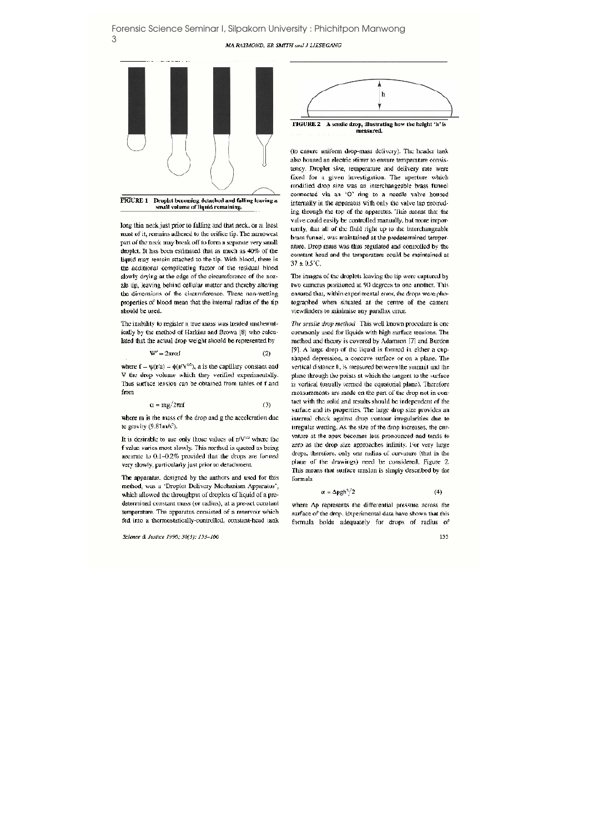Forensic Science Seminar I, Silpakorn University: Phichitpon Manwong 3

MA RAYMOND, ER SMITH and J LIESEGANG



long thin neck just prior to falling and that neck, or at least most of it, remains adhered to the orifice tip. The narrowest part of the neck may break off to form a separate very small droplet. It has been estimated that as much as  $40\%$  of the liquid may remain attached to the tip. With blood, there is the additional complicating factor of the residual blood slowly drying at the edge of the circumference of the nozale tip, leaving behind cellular matter and thereby altering the dimensions of the circumference. These non-wetting properties of blood mean that the internal radius of the tip should be used.

The inability to register a true mass was treated mathematically by the method of Harkins and Brown [8] who calculated that the actual drop weight should be represented by

$$
W' = 2\pi r \alpha f \tag{2}
$$

where  $\mathbf{f} = \psi(\mathbf{r}/a) = \phi(\mathbf{r}/V^{1/3})$ , a is the capillary constant and V the drop volume which they verified experimentally. Thus surface tension can be obtained from tables of f and from

$$
\alpha = \text{mg}/2\pi r\mathbf{f} \tag{3}
$$

where m is the mass of the drop and g the acceleration due. to gravity  $(9.81 \text{m/s}^2)$ .

It is desirable to use only those values of  $\pi/\nabla^{1/2}$  where the f value varies most slowly. This method is quoted as being accurate to 0.1-0.2% provided that the drops are formed very slowly, particularly just prior to detachment.

The apparatus, designed by the authors and used for this method, was a 'Droplet Delivery Mechanism Apparatus', which allowed the throughput of droplets of liquid of a predetermined constant mass (or radius), at a pre-set constant temperature. The apparatus consisted of a reservoir which fed into a thermostatically-controlled, constant-head tank

Science & Justice 1996; 36(3): 153-160



(to ensure uniform drop-mass delivery). The header tank also housed an electric stirrer to ensure temperature consistency. Droplet size, temperature and delivery rate were fixed for a given investigation. The aperture which modified drop size was an interchangeable brass funnel connected via an 'O' ring to a needle valve housed internally in the apparatus with only the valve tap protruding through the top of the apparatus. This meant that the valve could easily be controlled manually, but more importantly, that all of the fluid right up to the interchangeable brass funnel, was maintained at the predetermined temperature. Drop mass was thus regulated and controlled by the constant head and the temperature could be maintained at  $37 \pm 0.5$  °C.

The images of the droplets leaving the tip were captured by two cameras positioned at 90 degrees to one another. This ensured that, within experimental error, the drops were photographed when situated at the centre of the camera viewfinders to minimise any parallax error.

The sessile drop method This well known procedure is one commonly used for liquids with high surface tensions. The method and theory is covered by Adamson [7] and Burdon [9]. A large drop of the liquid is formed in either a cupshaped depression, a concave surface or on a plane. The vertical distance h, is measured between the summit and the plane through the points at which the tangent to the surface is vertical (osually termed the equatorial plane). Therefore measurements are made on the part of the drop not in contact with the solid and results should be independent of the surface and its properties. The large drop size provides an internal check against drop contour irregularities due to irregular wetting. As the size of the drop increases, the curvature at the apex becomes less pronounced and tends to zero as the drop size approaches infinity. For very large drops, therefore, only one radius of curvature (that in the plane of the drawings) need be considered, Figure 2. This means that surface tension is simply described by the formula

$$
\alpha = \Delta \text{pgh}^2 / 2 \tag{4}
$$

where Ap represents the differential pressure across the surface of the drop. Experimental data have shown that this formula holds adequately for drops of radius of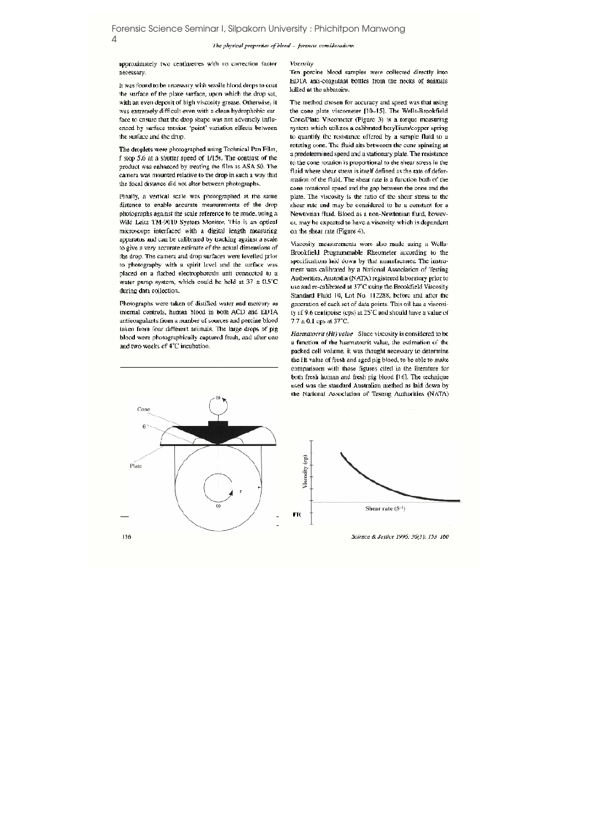### Forensic Science Seminar I, Silpakorn University: Phichitpon Manwong

#### The physical properties of bland - forensic considerations

approximately two centimetres with no correction factor necessary.

 $\overline{4}$ 

It was found to be necessary with sessile blood drops to coat the surface of the plane surface, upon which the drop sat, with an even deposit of high viscosity grease. Otherwise, it was extremely difficult even with a clean hydrophobic surface to ensure that the drop shape was not adversely influenced by surface tension 'point' variation effects between the surface and the drop.

The droplets were photographed using Technical Pan Film, f stop 5.6 at a shutter speed of 1/15s. The contrast of the product was enhanced by treating the film as ASA 50. The camera was mounted relative to the drop in such a way that the focal distance did not alter between photographs.

Finally, a vertical scale was photographed at the same distance to enable accurate measurements of the drop photographs against the scale reference to be made, using a Wild Leitz TM-9010 System Monitor, This is an optical microscope interfaced with a digital length measuring apparatus and can be calibrated by tracking against a scale to give a very accurate estimate of the actual dimensions of the drop. The camera and drop surfaces were levelled prior. to photography with a spirit level and the surface was placed on a flatbed electrophoresis unit connected to a water pump system, which could be held at  $37 \pm 0.5^{\circ} \text{C}$ during data collection,

Photographs were taken of distilled water and mercury as internal controls, human blood in both ACD and EDTA anticoagulants from a number of sources and porcine blood taken from four different animals. The large drops of pigblood were photographically captured fresh, and after one and two weeks of 4°C incubation.

#### Viscosity

Ten porcine blood samples were collected directly into EDTA anti-coagulant bottles from the necks of animals killed at the abbatoirs.

The method chosen for accuracy and speed was that using the cone plate viscometer [10-15]. The Wells-Brookfield Cone/Plate Viscometer (Figure 3) is a torque measuring system which utilizes a calibrated beryllium/copper spring to quantify the resistance offered by a sample fluid to a rotating cone. The fluid sits betweeen the cone spinning at a predetermined speed and a stationary plate. The resistance to the cone rotation is proportional to the shear stress in the fluid where shear stress is itself defined as the rate of deformation of the fluid. The shear rate is a function both of the cone rotational speed and the gap between the cone and the plate. The viscosity is the ratio of the shear stress to the shear rate and may be considered to be a constant for a Newtonian fluid. Blood as a non-Newtonian fluid, however, may be expected to have a viscosity which is dependent on the shear rate (Figure 4).

Viscosity measurements were also made using a Wells-Brookfield Programmable Rheometer according to the specifications laid down by that manufacturer. The instrument was calibrated by a National Association of Testing Authorities, Australia (NATA) registered laboratory prior to use and re-calibrated at 37°C using the Brookfield Viscosity Standard Fluid 10, Lot No. 112288, before and after the generation of each set of data points. This oil has a viscosity of 9.6 centipoise (eps) at  $25^{\circ}$ C and should have a value of  $7.7 \pm 0.1$  cps at 37°C.

Haematocrit  $(Ht)$  value Since viscosity is considered to be a function of the haematocrit value, the estimation of the packed cell volume, it was thought necessary to determine the Ht value of fresh and aged pig blood, to be able to make comparisons with those figures cited in the fiterature for both fresh human and fresh pig blood [16]. The technique used was the standard Australian method as laid down by the National Association of Testing Authorities (NATA)





Science & Justice 1996: 36(3): 153-160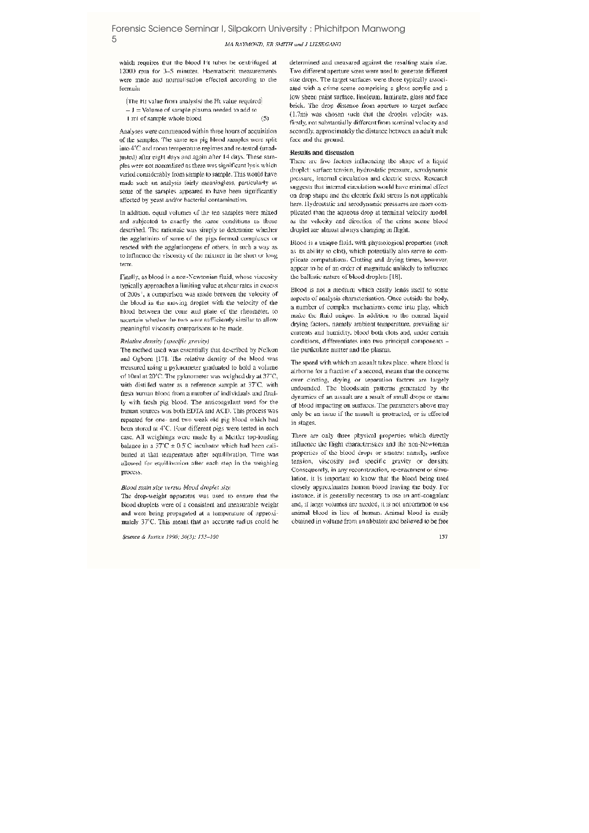5

#### MA RAYMOND, ER SMITH and J LIESEGANG

which requires that the blood Ht tubes be centrifuged at 12000 rpm for 3-5 minutes. Haematocrit measurements were made and normalisation effected according to the formula

(The Ht value from analysis/ the Ht value required)

```
- J = Volume of sample plasma needed to add to
```
 $(5)$ I int of sample whole blood

Analyses were commenced within three hours of acquisition of the samples. The same ten pig blood samples were split into 4°C and room temperature regimes and re-tested (unadjusted) after eight days and again after 14 days. These samples were not normalised as there was significant lysis which varied considerably from sample to sample. This would have made such an analysis fairly meaningless, particularly as some of the samples appeared to have been significantly affected by yeast and/or bacterial contamination.

In addition, equal volumes of the ten samples were mixed and subjected to exactly the same conditions as those described. The rationale was simply to determine whether the agglutinins of some of the pigs formed complexes or reacted with the agglutinogens of others, in such a way as to influence the viscosity of the mixture in the short or long term

Finally, as blood is a non-Newtonian fluid, whose viscosity typically approaches a limiting value at shear rates in excess of 200s<sup>1</sup>, a comparison was made between the velocity of the blood in the moving droplet with the velocity of the blood between the cone and plate of the rheometer, to ascertain whether the two were sufficiently similar to allow meaningful viscosity comparisons to be made.

#### Relative density (specific gravity)

The method used was essentially that described by Nelkon and Ogborn [17]. The relative density of the blood was measured using a pyknometer graduated to hold a volume of 10ml at 20°C. The pyknometer was weighed dry at 37°C, with distilled water as a reference sample at 37°C, with fresh human blood from a number of individuals and finally with fresh pig blood. The anticoagulant used for the human sources was both EDTA and ACD. This process was repeated for one- and two week old pig blood which had been stored at 4°C. Four different pigs were tested in each case. All weighings were made by a Mettler top-loading balance in a 37°C  $\pm$  0.5°C incubator which had been calibrated at that temperature after equilibration. Time was allowed for equilibration after each step in the weighing process.

#### Blood stain size versus blood droplet size

The drop-weight apparatus was used to ensure that the blood droplets were of a consistent and measurable weight and were being propagated at a temperature of approximately 37°C. This meant that an accurate radius could be

Science & Justice 1996; 36(3): 153-160

determined and measured against the resulting stain size. Two different aperture sizes were used to generate different size drops. The target surfaces were those typically associated with a crime scene comprising a gloss acrylic and a low sheen paint surface, linoleum, laminate, glass and face brick. The drop distance from aperture to target surface (1.7m) was chosen such that the droplet velocity was, firstly, not substantially different from terminal velocity and secondly, approximately the distance between an adult male face and the ground.

#### Results and discussion

There are live factors influencing the shape of a liquid droplet: surface tension, hydrostatic pressure, aerodynamic pressure, internal circulation and electric stress. Research suggests that internal circulation would have minimal effect on drop shape and the electric field stress is not applicable here. Hydrostatic and aerodynamic pressures are more complicated than the aqueous drop at terminal velocity model. as the velocity and direction of the crime scene blood droplet are almost always changing in flight.

Blood is a unique fluid, with physiological properties (such as its ability to clot), which potentially also serve to complicate computations. Clutting and drying times, however, appear to be of an order of magnitude unlikely to influence the ballistic nature of blood droplets [18].

Blood is not a medium which easily lends itself to some aspects of analysis characterisation. Once outside the body, a number of complex mechanisms come into play, which make the fluid onique. In addition to the normal liquid drying factors, namely ambient temperature, prevailing air corrents and humidity, blood both clots and, under certain conditions, differentiates into two principal components the particulate matter and the plasma.

The speed with which an assault takes place, where blood is airborne for a fraction of a second, means that the concerns over clotting, drying or separation factors are largely unfounded. The bloodstain patterns generated by the dynamics of an assault are a result of small drops or stains of blood impacting on surfaces. The parameters above may only be an issue if the assault is protracted, or is effected in stages.

There are only three physical properties which directly influence the flight characteristics and the non-Newtonian properties of the blood drops or smears; namely, surface tension, viscosity and specific gravity or density. Consequently, in any reconstruction, re-enactment or simulation, it is important to know that the blood being used closely approximates human blood leaving the body. For instance, it is generally necessary to use an anti-coagulant and, if large volumes are needed, it is not uncommon to use animal blood in lieu of human. Animal blood is easily obtained in volume from an abbatoir and believed to be free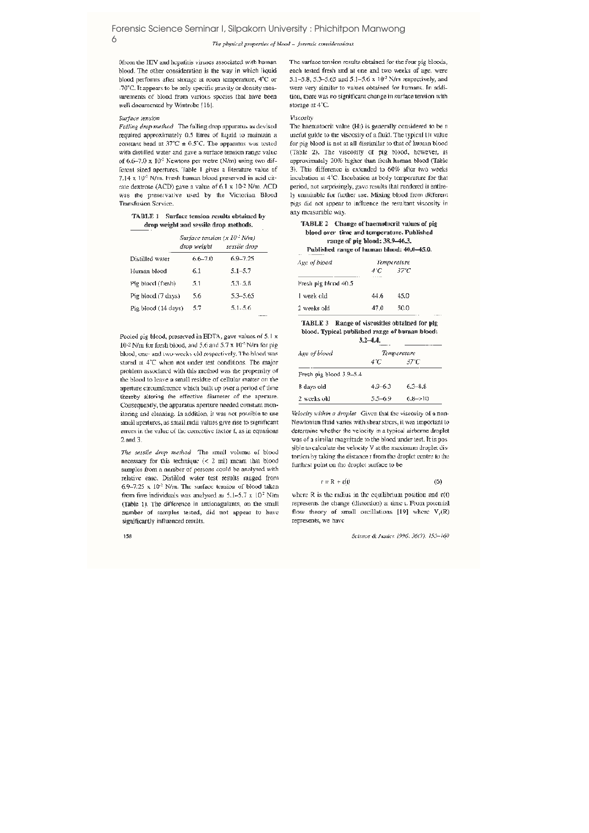6

#### The physical properties of blood - forensic considerations

Ofrom the HIV and hepatitis viruses associated with human blood. The other consideration is the way in which liquid blood performs after storage at room temperature, 4°C or -70°C. It appears to be only specific gravity or density measurements of blood from various species that have been well documented by Wintrobe [16].

#### Surface tension

Falling drop method The falling drop apparatus as devised required approximately 0.5 litres of liquid to maintain a constant head at 37°C  $\pm$  0.5°C. The apparatus was tested with distilled water and gave a surface tension range value of 6.6-7.0 x  $10^2$  Newtons per metre (N/m) using two different sized apertures. Table 1 gives a literature value of 7.14  $\times$  10<sup>-3</sup> N/m. Fresh human blood preserved in acid citrate dextrose (ACD) gave a value of 6.1 x 10-2 N/m. ACD was the preservative used by the Victorian Blood Transfusion Service.

| TABLE 1 |                                       |  | Surface tension results obtained by |  |
|---------|---------------------------------------|--|-------------------------------------|--|
|         | drop weight and sessile drop methods. |  |                                     |  |

|                     | Surface tension (x 10 <sup>-1</sup> N/m)<br>sessile drop<br>drop weight |              |  |
|---------------------|-------------------------------------------------------------------------|--------------|--|
| Distilled water     | $6.6 - 7.0$                                                             | $6.9 - 7.25$ |  |
| Human blood         | 6.1                                                                     | $5.1 - 5.7$  |  |
| Pig blood (fresh)   | 5.1                                                                     | 53.58        |  |
| Pig blood (7 days)  | 5.6                                                                     | 5.3–5.65     |  |
| Pig blood (14 days) | 5.7                                                                     | $51 - 56$    |  |

Pooled pig blood, preserved in EDTA, gave values of  $5.1 \times$  $10\text{-}2$  N/m for fresh blood, and 5.6 and 5.7 x  $10\text{-}2$  N/m for pig blood, one- and two-weeks old respectively. The blood was stored at 4°C when not under test conditions. The major problem associated with this method was the propensity of the blood to leave a small residue of cellular matter on the aperture circumference which built up over a period of time thereby altering the effective diameter of the aperture. Consequently, the apparatus aperture needed constant monitoring and cleaning. In addition, it was not possible to use small apertures, as small radii values give rise to significant errors in the value of the corrective factor f, as in equations 2 and 3.

The sessile drop method The small volume of blood necessary for this technique  $(< 2$  ml) meant that blood samples from a number of persons could be analysed with relative ease. Distilled water test results ranged from 6.9–7.25 x  $10<sup>2</sup>$  N/m. The surface tension of blood taken from five individuals was analysed as  $5.1-5.7 \times 10^2$  N/m (Table 1). The difference in anticoagulants, on the small number of samples tested, did not appear to have significantly influenced results.

The surface tension results obtained for the four pig bloods, each tested fresh and at one and two weeks of age, were 5.1–5.8, 5.3–5.65 and 5.1–5.6 x 10<sup>2</sup> N/m respectively, and were very similar to values obtained for humans. In addition, there was no significant change in surface tension with storage at  $4^{\circ}$ C.

#### Viscosity

The haematocrit value (Ht) is generally considered to be a useful guide to the viscosity of a fluid. The typical Lit value for pig blood is not at all dissimilar to that of human blood (Table 2). The viscosity of pig blood, however, is approximately 20% higher than fresh human blood (Table 3). This difference is extended to 60% after two weeks incubation at 4<sup>3</sup>C. Incubation at body temperature for that period, not surprisingly, gave results that rendered it entirely unsuitable for further use. Mixing blood from different pigs did not appear to influence the resultant viscosity in any measurable way.

|               | <b>TABLE 2</b> Change of haemotocrit values of pig |
|---------------|----------------------------------------------------|
|               | blood over time and temperature. Published         |
|               | rauge of pig blood: 38.9–46.3.                     |
|               | Published range of human hluod: 40.0–45.0.         |
| lge of blood. | Temperature                                        |
|               | 4°C –<br>- 37°C                                    |
| .             |                                                    |

|                      | — L. | ---  |  |
|----------------------|------|------|--|
| Presh pig blood 40.5 |      |      |  |
| 1 week old           | 44.6 | 45.0 |  |
| 2 weeks old.         | 47.0 | 50.0 |  |

**TABLE 3** Range of viscosities obtained for pig blood. Typical published range of human blood:

| $3.2 - 4.4$             |             |             |  |
|-------------------------|-------------|-------------|--|
| Axe of blood            |             | Temperature |  |
|                         | 4°C         | 37°C        |  |
| Fresh pig blood 3.9-5.4 |             |             |  |
| 8 days old              | $4.9 - 6.3$ | $6.3 - 8.8$ |  |
| 2 weeks old             | $5.5 - 6.9$ | 6.8–>10     |  |

Velocity within a droplet Given that the viscosity of a non-Newtonian fluid varies with shear stress, it was important to determine whether the velocity in a typical airborne droplet was of a similar magnitude to the blood under test. It is possible to calculate the velocity V at the maximum droplet distortion by taking the distance r from the droplet centre to the furthest point on the droplet surface to be

$$
R + c(t) \tag{6}
$$

where R is the radius in the equilibrium position and  $\varepsilon(t)$ represents the change (distortion) at time t. From potential flow theory of small oscillations [19] where  $V_r(R)$ represents, we have

 $\mathbf{r} =$ 

Science & Justice 1996; 36(3): 153-160

#### 158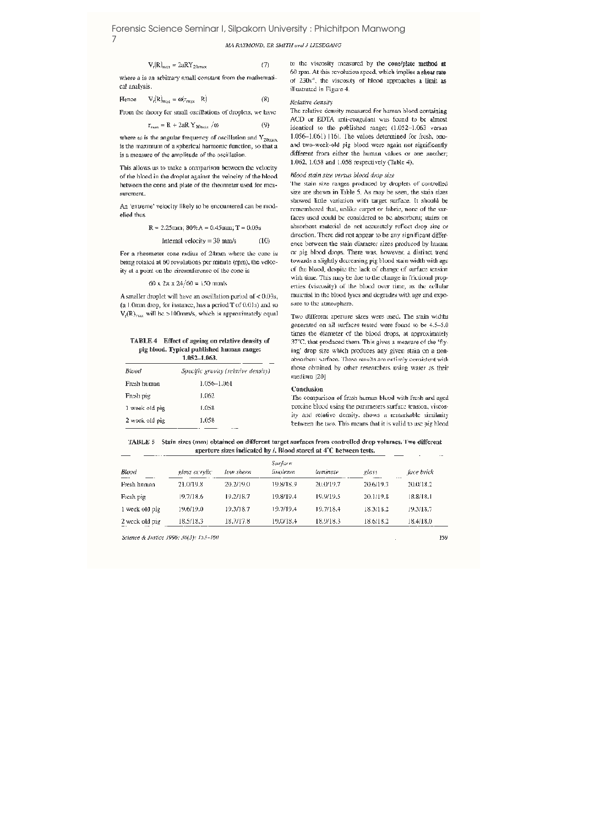#### MA RAYMOND, ER SMITH and J LIESEGANG

$$
\mathbf{V}_{\rm f}(\mathbf{R})_{\rm max} = 2a\mathbf{R}\mathbf{Y}_{20\text{max}} \tag{7}
$$

where a is an arbitrary small constant from the mathematical analysis.

7

Hence 
$$
V_r(R)_{m_{\text{dS}}} = \omega(r_{m_{\text{dS}}} - R)
$$
 (8)

From the theory for small oscillations of droplets, we have

$$
\mathbf{r}_{\text{max}} = \mathbf{R} + 2\mathbf{a}\mathbf{R} \mathbf{Y}_{20\text{max}} / \mathbf{\omega} \tag{9}
$$

where  $\omega$  is the angular frequency of oscillation and  $Y_{Zb\mu a\lambda}$ is the maximum of a spherical harmonic function, so that a is a measure of the amplitude of the oscillation.

This allows us to make a comparison between the velocity of the blood in the droplet against the velocity of the blood hetween the cone and plate of the rheometer used for measurement.

An 'extreme' velocity likely to be encountered can be modelled thus

$$
R = 2.25 \text{mm};\ 80\% A = 0.45 \text{mm};\ T = 0.03\text{s}
$$

$$
Internal velocity = 30 mm/s \qquad (10)
$$

For a rheometer cone radius of 24mm where the cone is being rotated at 60 revolutions per minute (rpm), the velocity at a point on the circumference of the cone is

 $60 \times 2\pi \times 24/60 = 150$  mm/s

A smaller droplet will have an oscillation period of  $< 0.03$ s, (a 1.0mm drop, for instance, has a period T of  $0.01$ s) and so  $V_f(R)_{max}$  will be >100mm/s, which is approximately equal

TABLE 4 Effect of ageing on relative density of pig blood. Typical published human range: 1.052-1.063.

| Bluad          | Specific gravity (relative density) |
|----------------|-------------------------------------|
| Fresh human    | 1.056–1.061                         |
| Frush pig      | 1.062                               |
| I week old pig | 1.058                               |
| 2 week old pig | 1.058                               |

to the viscosity measured by the cone/plate method at 60 rpm. At this revolution speed, which implies a shear rate of 230s<sup>-1</sup>, the viscosity of blood approaches a limit as illustrated in Figure 4.

#### Relative density

The relative density measured for human blood containing ACD or EDTA anti-coagulant was found to be almost identical to the published range; (1.052-1.063 versus  $1.056-1.061$ ) [16]. The values determined for fresh, oneand two-week-old pig blood were again not significantly different from either the human values or one another; 1.062, 1.058 and 1.058 respectively (Table 4).

#### Blood stain size versus blood drop size

The stain size ranges produced by droplets of controlled size are shown in Table 5. As may be seen, the stain sizes showed little variation with target surface. It should be remembered that, unlike carpet or fabric, none of the surfaces used could be considered to be absorbent; stains on absorbent material do not accurately reflect drop size or direction. There did not appear to be any significant difference between the stain diameter sizes produced by human or pig blood drops. There was, however, a distinct trend towards a slightly decreasing pig blood stain width with age of the blood, despite the lack of change of surface tension with time. This may be due to the change in frictional properties (viscosity) of the blood over time, as the cellular material in the blood lyses and degrades with age and exposure to the atmosphere.

Two different aperture sizes were used. The stain widths generated on all surfaces tested were found to be 4.5-5.0 times the diameter of the blood drops, at approximately 37°C, that produced them. This gives a measure of the 'flying' drop size which produces any given stain on a nonabsorbent surface. These results are entirely consistent with those obtained by other researchers using water as their medium [20]

#### Conclusion

The comparison of fresh human blood with fresh and aged porcine blood using the parameters surface tension, viscosity and relative density, shows a remarkable similarity between the two. This means that it is valid to use pig blood

TABLE 5 Stain sizes (mm) obtained on different target surfaces from controlled drop volumes. Two different aperture sizes indicated by  $\ell$ . Blood stored at  $4^{\circ}$ C between tests.

| <b>Blood</b>   | gloss acrylic | tow sheen. | Surface<br>linoleum | laminate  | glass     | face brick<br>$- - -$ |
|----------------|---------------|------------|---------------------|-----------|-----------|-----------------------|
| Fresh human    | 21,0/19.8     | 20.2/19.0  | 19.8/18.9           | 20.0/19.7 | 20.6/19.3 | 20.0/18.2             |
| Fresh pig      | 19.7/18.6     | 19.2/18.7  | 19.8/19.4           | 19.9/19.5 | 20.1/19.8 | 18.8/18.1             |
| 1 week old pig | 19,6/19.0     | 19.3/18.7  | 19.7/19.4           | 19.7/18.4 | 18.3/18.2 | 19.3/18.7             |
| 2 week old pig | 18.5/18.3     | 18,7/17.8  | 19,0/18.4           | 18.9/18.3 | 18.6/18.2 | 18.4/18.0             |

Science & Justice 1996: 36(3): 153-160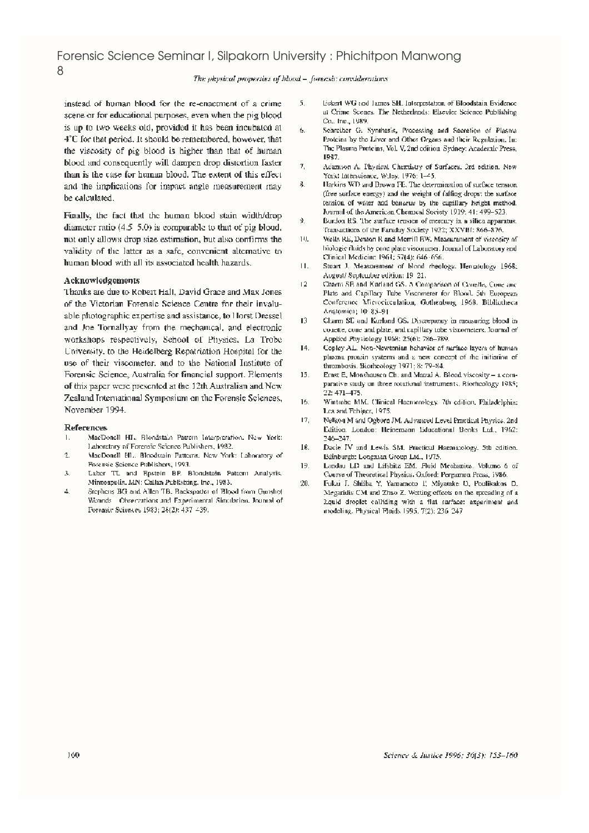Forensic Science Seminar I, Silpakorn University: Phichitpon Manwong  $\mathsf{R}$ 

The physical properties of blood - forensic considerations

instead of human blood for the re-enactment of a crime scene or for educational purposes, even when the pig blood. is up to two weeks old, provided it has been incubated at 4°C for that period. It should be remembered, however, that the viscosity of pig blood is higher than that of human blood and consequently will dampen drop distortion faster than is the case for human blood. The extent of this effect and the implications for impact angle measurement may be calculated,

Finally, the fact that the human blood stain width/drop diameter ratio  $(4.5, 5.0)$  is comparable to that of pig blood, not only allows drop size estimation, but also confirms the validity of the latter as a safe, convenient alternative to human blood with all its associated health hazards.

#### Acknowledgements

Thanks are due to Robert Hall. David Grace and Max Jones. of the Victorian Forensic Science Centre for their invaluable photographic expertise and assistance, to Horst Dressel and Joe Tornallyay from the mechanical, and electronic workshops respectively, School of Physics. La Trobe University, to the Heidelberg Repatriation Hospital for the use of their viscometer, and to the National Institute of Forensic Science, Australia for financial support. Elements of this paper were presented at the 12th Australian and New Zealand International Symposium on the Forensic Sciences, November 1994.

#### **References**

- MacDonell HL. Blondstain Patrom Interpretation, New York:  $\mathsf{L}$ Laboratory of Forensic Science Publishers, 1982.
- $\overline{2}$ MacDonell HL. Bloodstain Patterns. New York: Lahoratory of Forensie Science Publishers, 1993.
- Laber TL and Epstein BP. Blondstain Pattern Analysis. ι Minneapolis, MN: Callan Publishing, Inc., 1983.
- $\overline{4}$ Stephens BG and Allen TB. Backspatter of Blood from Gunshot Wounds Observations and Experimental Simulation. Journal of Forensic Sciences 1983; 28(2): 437-439.
- $5.$ Eckert WG and James SH. Interpretation of Bloodstain Evidence at Crime Scenes. The Netherlands: Elsevier Science Publishing Co., Inc., 1989.
- Schreiber G. Synthesis, Processing and Secretion of Plasma 6. Proteins by the Liver and Other Organs and their Regulation. In: The Plasma Proteins, Vol. V. 2nd edition, Sydney: Academic Press. 1987.
- 7, Adamson A. Physical Chemistry of Surfaces, 3rd edition, New York: Interscience, Wiley, 1976; 1-45.
- 昘. Harkins WD and Brown FE. The determination of surface tension-(free surface energy) and the weight of falling drops: the surface tension of water and benzene by the capillary height method. Journal of the American Chemical Society 1919: 41: 499-523.
- 9. Burdon RS. The surface tension of mercury in a silica apparatus. Transactions of the Faraday Society 1932; XXVIII: 866-876.
- $H$ Wells RE, Denton R and Merrill RW. Measurement of viscosity of biologic fluids by cone plate visconacter. Journal of Laboratory and Clinical Medicine 1964; 57(4): 646-656.
- П. Stuart J. Measurement of blond rheology. Hengitology 1968; August/ September edition: 19-21.
- $12$ Charm SE and Kurland GS. A Comparison of Conette, Cone and Plate and Capillary Tube Viscometer for Blood, 5th European Conference Microcirculation, Gothenburg 1968. Bibliotheca Anatomica: 10: 85-91.
- $13$ Charm SE and Kurland GS. Discrepancy in measuring blood in cohette, cone and plate, and capillary tobe viscometers. Journal of Applied Physiology 1968: 25(6): 786-789.
- $14.$ Copley AL. Nen-Newtonian hehavior of surface layers of human plasma proacin systems and a new concept of the initiation of thrombosis. Biorheology 1971; 8: 79-84.
- $15.$ Ernst E, Monshausen Ch. and Matrai A. Blood viscosity - a comparative study on three rotational instruments. Biorheology 1985; 22: 471-475.
- 16. Wintrobe MM, Clinical Haemorology, 7th edition, Philadelphia: Lea and Febiger, 1975.
- $17<sup>°</sup>$ Nelkon M and Ogborn JM. Advanced Level Practical Physics. 2nd Edition, London; Heinemann Educational Books Etd., 1962; 246-247.
- Dacie IV and Lewis SM. Practical Harmatology. 5th edition. 16. Edinburgh: Longman Group Ltd., 1975.
- 19. Landau LD and Lifshitz EM. Fluid Mechanics. Volume 6 of Course of Theoretical Physics. Oxford: Pergamon Press, 1986.
- 20. Fukai I, Shiiba Y, Yamamoto I, Miyatake O, Poulikakos D, Megaridis CM and Zhao Z. Wetting effects on the spreading of a liquid droplet colliding with a flat surface: experiment and modeling. Physical Fluids 1995, 7(2): 236-247.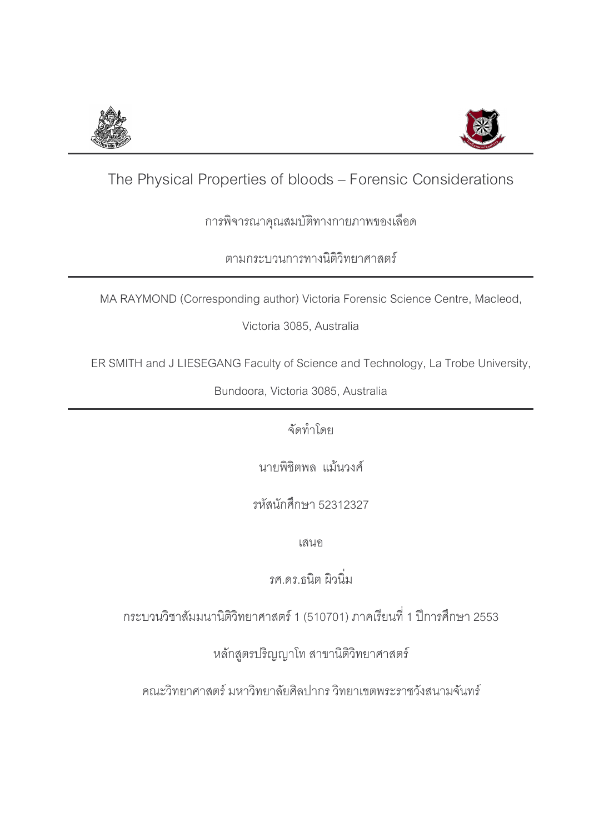



## The Physical Properties of bloods - Forensic Considerations

## การพิจารณาคุณสมบัติทางกายภาพของเลือด

ตามกระบวนการทางนิติวิทยาศาสตร์

MA RAYMOND (Corresponding author) Victoria Forensic Science Centre, Macleod,

Victoria 3085. Australia

ER SMITH and J LIESEGANG Faculty of Science and Technology, La Trobe University,

Bundoora, Victoria 3085, Australia

จัดทำโดย

นายพิชิตพล แม้นวงศ์

รหัสนักศึกษา 52312327

เสนอ

รศ ดร กนิต ผิวนิ่ม

กระบวนวิชาสัมมนานิติวิทยาศาสตร์ 1 (510701) ภาคเรียนที่ 1 ปีการศึกษา 2553

หลักสูตรปริญญาโท สาขานิติวิทยาศาสตร์

คณะวิทยาศาสตร์ มหาวิทยาลัยศิลปากร วิทยาเขตพระราชวังสนามจันทร์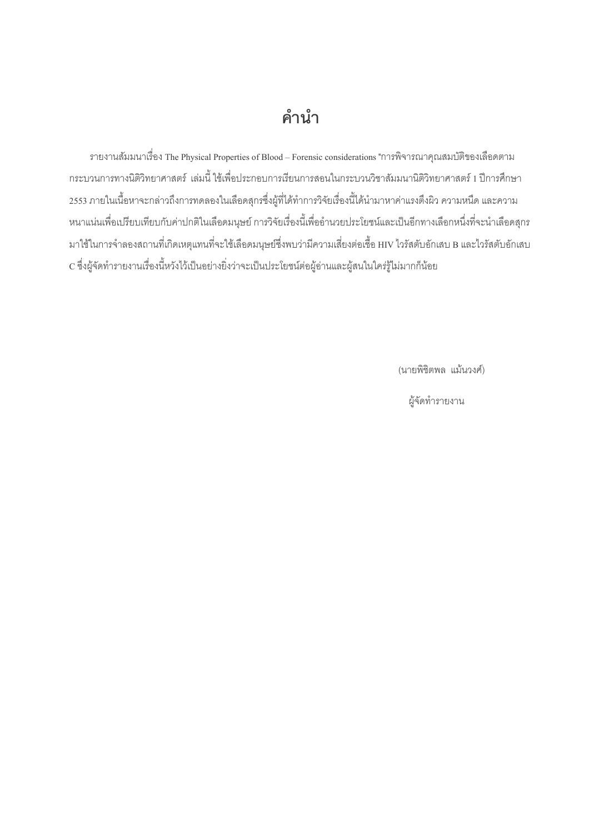รายงานสัมมนาเรื่อง The Physical Properties of Blood – Forensic considerations "การพิจารณาคุณสมบัติของเลือดตาม ้ กระบวนการทางนิติวิทยาศาสตร์ เล่มนี้ ใช้เพื่อประกอบการเรียนการสอนในกระบวนวิชาสัมมนานิติวิทยาศาสตร์ 1 ปีการศึกษา 2553 ภายในเนื้อหาจะกล่าวถึงการทดลองในเลือดสุกรซึ่งผู้ที่ได้ทำการวิจัยเรื่องนี้ได้นำมาหาค่าแรงตึงผิว ความหนืด และความ หนาแน่นเพื่อเปรียบเทียบกับค่าปกติในเลือดมนุษย์ การวิจัยเรื่องนี้เพื่ออำนวยประโยชน์และเป็นอีกทางเลือกหนึ่งที่จะนำเลือดสุกร มาใช้ในการจำลองสถานที่เกิดเหตุแทนที่จะใช้เลือดมนุษย์ซึ่งพบว่ามีความเสี่ยงต่อเชื้อ HIV ไวรัสตับอักเสบ B และไวรัสตับอักเสบ C ซึ่งผู้จัดทำรายงานเรื่องนี้หวังไว้เป็นอย่างยิ่งว่าจะเป็นประโยชน์ต่อผู้อ่านและผู้สนในใคร่รู้ไม่มากก็น้อย

(นายพิชิตพล แม้นวงศ์)

ผู้จัดทำรายงาน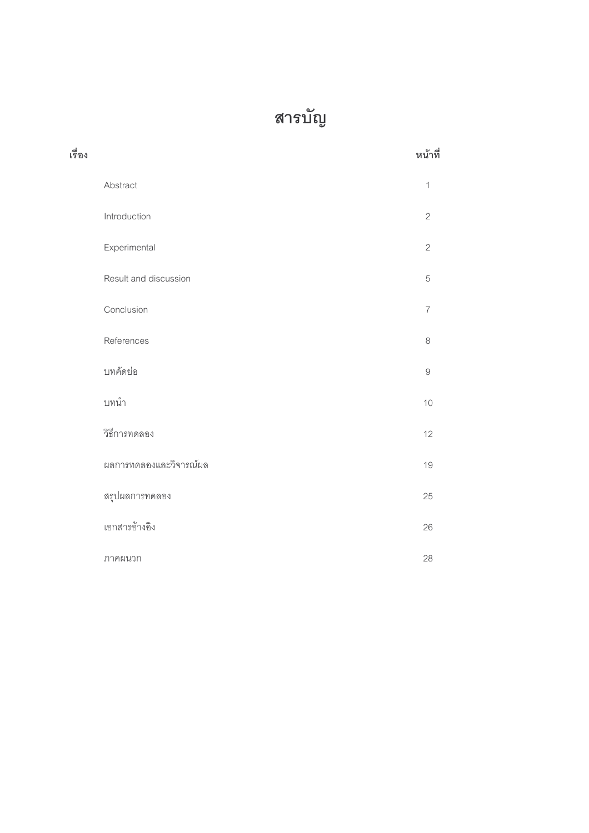สารบัญ

| เรื่อง |                        | หน้าที่        |
|--------|------------------------|----------------|
|        | Abstract               | $\mathbf 1$    |
|        | Introduction           | $\overline{c}$ |
|        | Experimental           | $\overline{2}$ |
|        | Result and discussion  | 5              |
|        | Conclusion             | $\overline{7}$ |
|        | References             | $\,8\,$        |
|        | บทคัดย่อ               | $\mathcal G$   |
|        | บทนำ                   | 10             |
|        | วิธีการทดลอง           | 12             |
|        | ผลการทดลองและวิจารณ์ผล | 19             |
|        | สรุปผลการทดลอง         | 25             |
|        | เอกสารอ้างอิง          | 26             |
|        | ภาคผนวก                | 28             |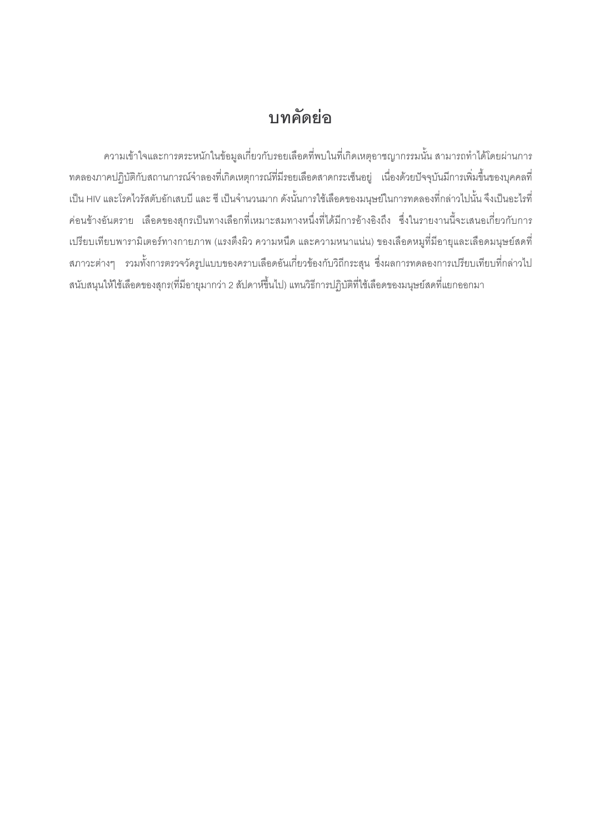# บทคัดย่อ

้ ความเข้าใจและการตระหนักในข้อมูลเกี่ยวกับรอยเลือดที่พบในที่เกิดเหตุอาชญากรรมนั้น สามารถทำได้โดยผ่านการ ทดลองภาคปฏิบัติกับสถานการณ์จำลองที่เกิดเหตุการณ์ที่มีรอยเลือดสาดกระเซ็นอยู่ เนื่องด้วยปัจจุบันมีการเพิ่มขึ้นของบุคคลที่ เป็น HIV และโรคไวรัสตับอักเสบบี และ ซี เป็นจำนวนมาก ดังนั้นการใช้เลือดของมนุษย์ในการทดลองที่กล่าวไปนั้น จึงเป็นอะไรที่ ้ค่อนข้างอันตราย เลือดของสุกรเป็นทางเลือกที่เหมาะสมทางหนึ่งที่ได้มีการอ้างอิงถึง ซึ่งในรายงานนี้จะเสนอเกี่ยวกับการ เปรียบเทียบพารามิเตอร์ทางกายภาพ (แรงตึงผิว ความหนืด และความหนาแน่น) ของเลือดหมูที่มีอายุและเลือดมนุษย์สดที่ ี สภาวะต่างๆ รวมทั้งการตรวจวัดรูปแบบของคราบเลือดอันเกี่ยวข้องกับวิถีกระสุน ซึ่งผลการทดลองการเปรียบเทียบที่กล่าวไป สนับสนุนให้ใช้เลือดของสุกร(ที่มีอายุมากว่า 2 สัปดาห์ขึ้นไป) แทนวิธีการปฏิบัติที่ใช้เลือดของมนุษย์สดที่แยกออกมา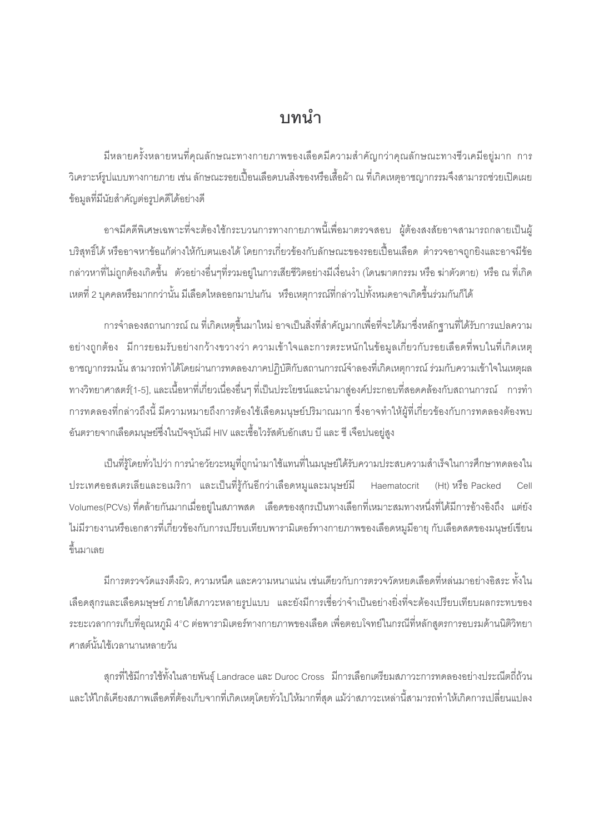## บทนำ

้มีหลายครั้งหลายหนที่คุณลักษณะทางกายภาพของเลือดมีความสำคัญกว่าคุณลักษณะทางชีวเคมีอยู่มาก การ วิเคราะห์รูปแบบทางกายภาย เช่น ลักษณะรอยเปื้อนเลือดบนสิ่งของหรือเสื้อผ้า ณ ที่เกิดเหตุอาชญากรรมจึงสามารถช่วยเปิดเผย ข้อมูลที่มีนัยสำคัญต่อรูปคดีได้อย่างดี

้อาจมีคดีพิเศษเฉพาะที่จะต้องใช้กระบวนการทางกายภาพนี้เพื่อมาตรวจสอบ ผู้ต้องสงสัยอาจสามารถกลายเป็นผู้ บริสุทธิ์ได้ หรืออาจหาข้อแก้ต่างให้กับตนเองได้ โดยการเกี่ยวข้องกับลักษณะของรอยเปื้อนเลือด ตำรวจอาจถูกยิงและอาจมีข้อ กล่าวหาที่ไม่ถูกต้องเกิดขึ้น ตัวอย่างอื่นๆที่รวมอยู่ในการเสียชีวิตอย่างมีเงื่อนงำ (โดนฆาตกรรม หรือ ฆ่าตัวตาย) หรือ ณ ที่เกิด เหตที่ 2 บุคคลหรือมากกว่านั้น มีเลือดไหลออกมาปนกัน หรือเหตุการณ์ที่กล่าวไปทั้งหมดอาจเกิดขึ้นร่วมกันก็ได้

้การจำลองสถานการณ์ ณ ที่เกิดเหตุขึ้นมาใหม่ อาจเป็นสิ่งที่สำคัญมากเพื่อที่จะได้มาซึ่งหลักฐานที่ได้รับการแปลความ ่อย่างถูกต้อง มีการยอมรับอย่างกว้างขวางว่า ความเข้าใจและการตระหนักในข้อมูลเกี่ยวกับรอยเลือดที่พบในที่เกิดเหตุ ่ อาชญากรรมนั้น สามารถทำได้โดยผ่านการทดลองภาคปฏิบัติกับสถานการณ์จำลองที่เกิดเหตุการณ์ ร่วมกับความเข้าใจในเหตุผล ทางวิทยาศาสตร์[1-5], และเนื้อหาที่เกี่ยวเนื่องอื่นๆ ที่เป็นประโยชน์และนำมาสู่องค์ประกอบที่สอดคล้องกับสถานการณ์ การทำ การทดลองที่กล่าวถึงนี้ มีความหมายถึงการต้องใช้เลือดมนุษย์ปริมาณมาก ซึ่งอาจทำให้ผู้ที่เกี่ยวข้องกับการทดลองต้องพบ ้อันตรายจากเลือดมนุษย์ซึ่งในปัจจุบันมี HIV และเชื้อไวรัสตับอักเสบ บี และ ซี เจือปนอยู่สูง

เป็นที่รู้โดยทั่วไปว่า การนำอวัยวะหมูที่ถูกนำมาใช้แทนที่ในมนุษย์ได้รับความประสบความสำเร็จในการศึกษาทดลองใน ประเทศออสเตรเลียและอเมริกา และเป็นที่รู้กันอีกว่าเลือดหมูและมนุษย์มี Haematocrit (Ht)หรือ Packed Cell Volumes(PCVs) ที่คล้ายกันมากเมื่ออยู่ในสภาพสด เลือดของสุกรเป็นทางเลือกที่เหมาะสมทางหนึ่งที่ได้มีการอ้างอิงถึง แต่ยัง ไม่มีรายงานหรือเอกสารที่เกี่ยวข้องกับการเปรียบเทียบพารามิเตอร์ทางกายภาพของเลือดหมูมีอายุ กับเลือดสดของมนุษย์เขียน ้<br>ขึ้นมาเลย

้มีการตรวจวัดแรงตึงผิว. ความหนืด และความหนาแน่น เช่นเดียวกับการตรวจวัดหยดเลือดที่หล่นมาอย่างอิสระ ทั้งใน เลือดสุกรและเลือดมษุษย์ ภายใต้สภาวะหลายรูปแบบ และยังมีการเชื่อว่าจำเป็นอย่างยิ่งที่จะต้องเปรียบเทียบผลกระทบของ ระยะเวลาการเก็บที่อุณหภูมิ 4°C ต่อพารามิเตอร์ทางกายภาพของเลือด เพื่อตอบโจทย์ในกรณีที่หลักสูตรการอบรมด้านนิติวิทยา ศาสต์นั้นใช้เวลานานหลายวัน

สุกรที่ใช้มีการใช้ทั้งในสายพันธุ์ Landrace และ Duroc Cross มีการเลือกเตรียมสภาวะการทดลองอย่างประณีตถี่ถ้วน และให้ใกล้เคียงสภาพเลือดที่ต้องเก็บจากที่เกิดเหตุโดยทั่วไปให้มากที่สุด แม้ว่าสภาวะเหล่านี้สามารถทำให้เกิดการเปลี่ยนแปลง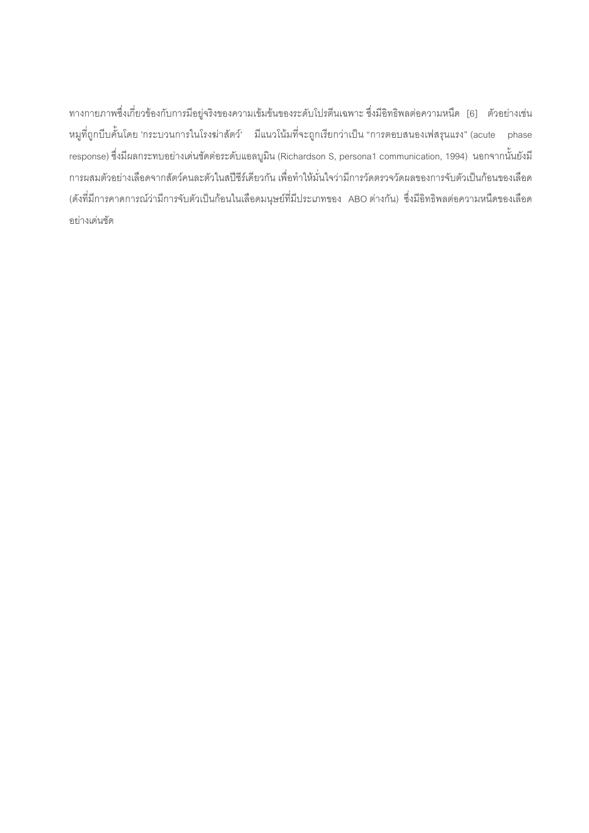ทางกายภาพซึ่งเกี่ยวข้องกับการมีอยู่จริงของความเข้มข้นของระดับโปรตีนเฉพาะ ซึ่งมีอิทธิพลต่อความหนืด [6] ตัวอย่างเช่น หมูที่ถูกบีบคั้นโดย 'กระบวนการในโรงฆ่าสัตว์' มีแนวโน้มที่จะถูกเรียกว่าเป็น "การตอบสนองเฟสรุนแรง" (acute phase response) ซึ่งมีผลกระทบอย่างเด่นชัดต่อระดับแอลบูมิน (Richardson S, persona1 communication, 1994) นอกจากนั้นยังมี การผสมตัวอย่างเลือดจากสัตว์คนละตัวในสปีชีร์เดียวกัน เพื่อทำให้มั่นใจว่ามีการวัดตรวจวัดผลของการจับตัวเป็นก้อนของเลือด (ดังที่มีการคาดการณ์ว่ามีการจับตัวเป็นก้อนในเลือดมนุษย์ที่มีประเภทของ ABO ต่างกัน) ซึ่งมีอิทธิพลต่อความหนืดของเลือด อย่างเด่นชัด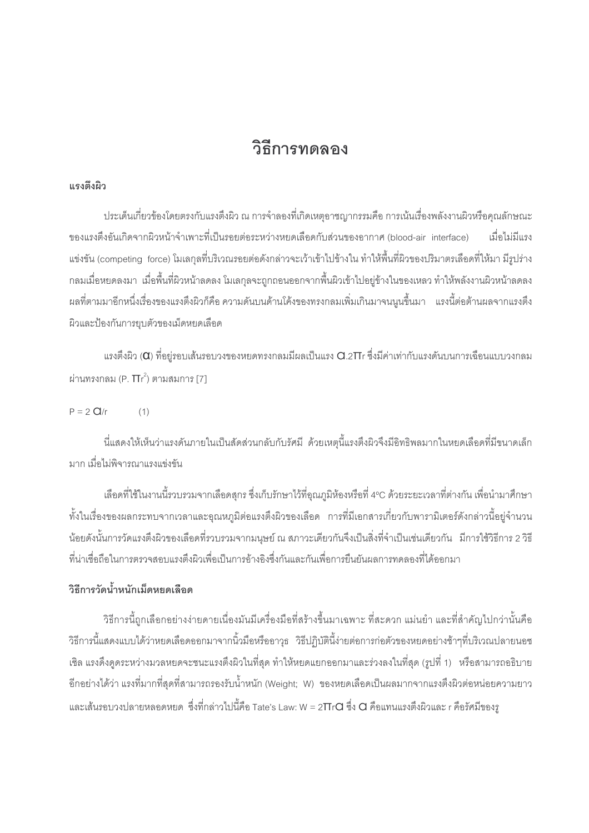## วิธีการทดลคง

### แรงตึงผิว

ประเด็นเกี่ยวข้องโดยตรงกับแรงตึงผิว ณ การจำลองที่เกิดเหตุอาชญากรรมคือ การเน้นเรื่องพลังงานผิวหรือคุณลักษณะ ของแรงตึ้งอันเกิดจากผิวหน้าจำเพาะที่เป็นรอยต่อระหว่างหยดเลือดกับส่วนของอากาศ (blood-air interface) เมื่อไม่มีแรง แข่งขัน (competing force) โมเลกุลที่บริเวณรอยต่อดังกล่าวจะเว้าเข้าไปข้างใน ทำให้พื้นที่ผิวของปริมาตรเลือดที่ให้มา มีรูปร่าง ึกลมเมื่อหยดลงมา เมื่อพื้นที่ผิวหน้าลดลง โมเลกุลจะถูกถอนออกจากพื้นผิวเข้าไปอยู่ข้างในของเหลว ทำให้พลังงานผิวหน้าลดลง ผลที่ตามมาอีกหนึ่งเรื่องของแรงตึงผิวก็คือ ความดันบนด้านโค้งของทรงกลมเพิ่มเกินมาจนนูนขึ้นมา แรงนี้ต่อต้านผลจากแรงตึง ผิวและป้องกันการยุบตัวของเม็ดหยดเลือด

แรงตึงผิว (**C**) ที่อยู่รอบเส้นรอบวงของหยดทรงกลมมีผลเป็นแรง Cl.2TTr ซึ่งมีค่าเท่ากับแรงดันบนการเฉือนแบบวงกลม ผ่านทรงกลม (P.  $\text{Tr}^2$ ) ตามสมการ [7]

 $P = 2 Q/r$  $(1)$ 

นี่แสดงให้เห็นว่าแรงดันภายในเป็นสัดส่วนกลับกับรัศมี ด้วยเหตุนี้แรงตึ่งผิวจึงมีอิทธิพลมากในหยดเลือดที่มีขนาดเล็ก มาก เมื่อไม่พิจารณาแรงแข่งขัน

เลือดที่ใช้ในงานนี้รวบรวมจากเลือดสุกร ซึ่งเก็บรักษาไว้ที่อุณภูมิห้องหรือที่ 4°C ด้วยระยะเวลาที่ต่างกัน เพื่อนำมาศึกษา ้ทั้งในเรื่องของผลกระทบจากเวลาและอุณหภูมิต่อแรงตึงผิวของเลือด การที่มีเอกสารเกี่ยวกับพารามิเตอร์ดังกล่าวนี้อยู่จำนวน ้น้อยดังนั้นการวัดแรงตึ้งผิวของเลือดที่รวบรวมจากมนษย์ ณ สภาวะเดียวกันจึงเป็นสิ่งที่จำเป็นเช่นเดียวกัน มีการใช้วิธีการ 2 วิธี ที่น่าเชื่อถือในการตรวจสอบแรงตึงผิวเพื่อเป็นการอ้างอิงซึ่งกันและกันเพื่อการยืนยันผลการทดลองที่ได้ออกมา

### วิธีการวัดน้ำหนักเม็ดหยดเลือด

้วิธีการนี้ถูกเลือกอย่างง่ายดายเนื่องมันมีเครื่องมือที่สร้างขึ้นมาเฉพาะ ที่สะดวก แม่นยำ และที่สำคัญไปกว่านั้นคือ วิธีการนี้แสดงแบบได้ว่าหยดเลือดออกมาจากนิ้วมือหรืออาวุธ วิธีปฏิบัตินี้ง่ายต่อการก่อตัวของหยดอย่างช้าๆที่บริเวณปลายนอซ เซิล แรงดึงดูดระหว่างมวลหยดจะชนะแรงตึงผิวในที่สุด ทำให้หยดแยกออกมาและร่วงลงในที่สุด (รูปที่ 1) หรือสามารถอธิบาย ้ อีกอย่างได้ว่า แรงที่มากที่สุดที่สามารถรองรับน้ำหนัก (Weight; W) ของหยดเลือดเป็นผลมากจากแรงตึงผิวต่อหน่อยความยาว และเส้นรอบวงปลายหลอดหยด ซึ่งที่กล่าวไปนี้คือ Tate's Law: W = 2 $\Pi$ r**C** ซึ่ง **C** คือแทนแรงตึงผิวและ r คือรัศมีของรู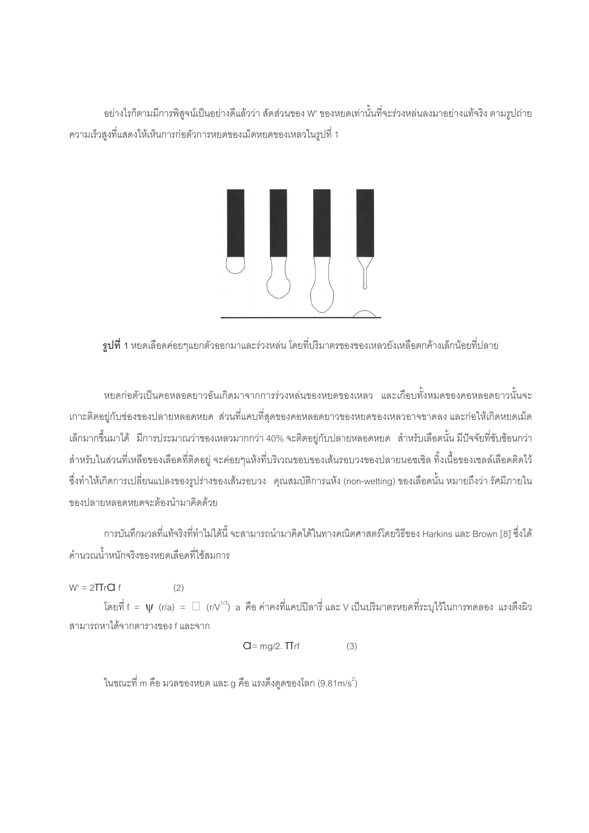่ อย่างไรก็ตามมีการพิสูจน์เป็นอย่างดีแล้วว่า สัดส่วนของ W' ของหยดเท่านั้นที่จะร่วงหล่นลงมาอย่างแท้จริง ตามรูปถ่าย ่ ความเร็วสูงที่แสดงให้เห็นการก่อตัวการหยดของเม็ดหยดของเหลวในรูปที่ 1



**รูปที่** 1 หยดเลือดค่อยๆแยกตัวออกมาและร่วงหล่น โดยที่ปริมาตรของของเหลวยังเหลือตกค้างเล็กน้อยที่ปลาย

หยดก่อตัวเป็นคอหลอดยาวอันเกิดมาจากการร่วงหล่นของหยดของเหลว และเกือบทั้งหมดของคอหลอดยาวนั้นจะ เกาะติดอยู่กับช่องของปลายหลอดหยด ส่วนที่แคบที่สุดของคอหลอดยาวของหยดของเหลวอาจขาดลง และก่อให้เกิดหยดเม็ด เล็กมากขึ้นมาได้ มีการประมาณว่าของเหลวมากกว่า 40% จะติดอยู่กับปลายหลอดหยด สำหรับเลือดนั้น มีปัจจัยที่ซับซ้อนกว่า ้สำหรับในส่วนที่เหลือของเลือดที่ติดอยู่ จะค่อยๆแห้งที่บริเวณขอบของเส้นรอบวงของปลายนอชเซิล ทิ้งเนื้อของเซลล์เลือดติดไว้ ซึ่งทำให้เกิดการเปลี่ยนแปลงของรูปร่างของเส้นรอบวง คุณสมบัติการแห้ง (non-wetting) ของเลือดนั้น หมายถึงว่า รัศมีภายใน ของปลายหลอดหยดจะต้องนำมาคิดด้วย

ี การบันทึกมวลที่แท้จริงที่ทำไม่ได้นี้ จะสามารถนำมาคิดได้ในทางคณิตศาสตร์โดยวิธีของ Harkins และ Brown [8] ซึ่งได้ คำบากน้ำหนักจริงของหยดเลือดที่ใช้สมการ

$$
W' = 2 \pi r \mathbf{C} \mathbf{f}
$$

 $(2)$ 

โดยที่ f =  $\psi$  (r/a) =  $(r/V^{1/3})$  a คือ ค่าคงที่แคปปิลารี่ และ V เป็นปริมาตรหยดที่ระบุไว้ในการทดลอง แรงตึงผิว สามารถหาได้จากตารางของ f และจาก

$$
Q = mg/2. \text{Trf} \tag{3}
$$

ในขณะที่ m คือ มวลของหยด และ g คือ แรงดึงดูดของโลก (9.81m/s $^2$ )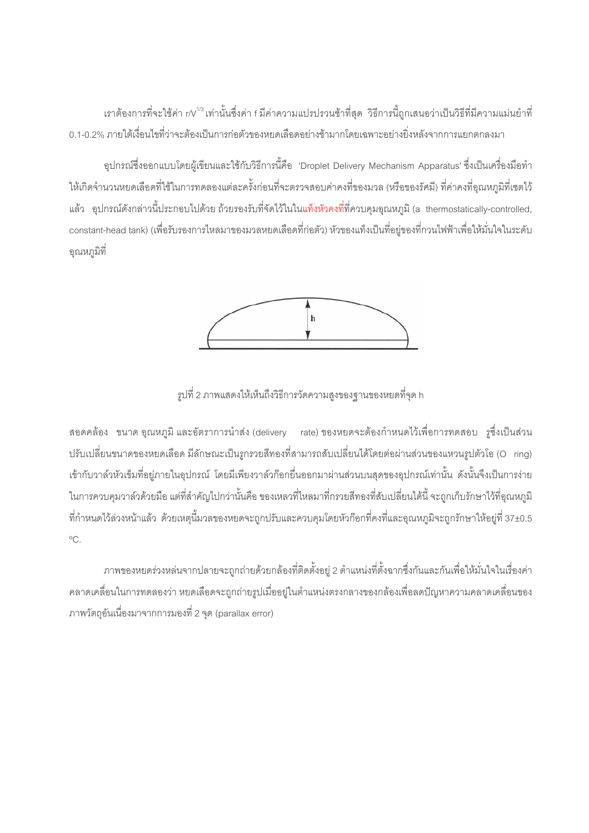ี่ เราต้องการที่จะใช้ค่า r⁄V<sup>1/3</sup> เท่านั้นซึ่งค่า f มีค่าความแปรปรวนช้าที่สุด วิธีการนี้ถูกเสนอว่าเป็นวิธีที่มีความแม่นยำที่ 0.1-0.2% ภายใต้เงื่อนไขที่ว่าจะต้องเป็นการก่อตัวของหยดเลือดอย่างช้ามากโดยเฉพาะอย่างยิ่งหลังจากการแยกตกลงมา

อุปกรณ์ซึ่งออกแบบโดยผู้เขียนและใช้กับวิธีการนี้คือ 'Droplet Delivery Mechanism Apparatus' ซึ่งเป็นเครื่องมือทำ ให้เกิดจำนวนหยดเลือดที่ใช้ในการทดลองแต่ละครั้งก่อนที่จะตรวจสอบค่าคงที่ของมวล (หรือของรัศมี) ที่ค่าคงที่อุณหภูมิที่เซตไว้ แล้ว อุปกรณ์ดังกล่าวนี้ประกอบไปด้วย ถ้วยรองรับที่จัดไว้ในในแท็งหัวคงที่ที่ควบคุมอุณหภูมิ (a thermostatically-controlled, constant-head tank) (เพื่อรับรองการไหลมาของมวลหยดเลือดที่ก่อตัว) หัวของแท็งเป็นที่อยู่ของที่กวนไฟฟ้าเพื่อให้มั่นใจในระดับ ็อณหภมิที่



ิ รูปที่ 2 ภาพแสดงให้เห็นถึงวิธีการวัดความสูงของฐานของหยดที่จุด h

ี สอดคล้อง ขนาด อุณหภูมิ และอัตราการนำส่ง (delivery rate) ของหยดจะต้องกำหนดไว้เพื่อการทดสอบ รูซึ่งเป็นส่วน ปรับเปลี่ยนขนาดของหยดเลือด มีลักษณะเป็นรกรวยสีทองที่สามารถสับเปลี่ยนได้โดยต่อผ่านส่วนของแหวนรปตัวโอ (O ring) เข้ากับวาล์วหัวเข็มที่อยู่ภายในอุปกรณ์ โดยมีเพียงวาล์วก๊อกยื่นออกมาผ่านส่วนบนสุดของอุปกรณ์เท่านั้น ดังนั้นจึงเป็นการง่าย ในการควบคุมวาล์วด้วยมือ แต่ที่สำคัญไปกว่านั้นคือ ของเหลวที่ไหลมาที่กรวยสีทองที่สับเปลี่ยนได้นี้ จะถูกเก็บรักษาไว้ที่อุณหภูมิ ์ ที่กำหนดไว้ล่วงหน้าแล้ว ด้วยเหตุนี้มวลของหยดจะถูกปรับและควบคุมโดยหัวก๊อกที่คงที่และอุณหภูมิจะถูกรักษาให้อยู่ที่ 37±0.5  $\circ$   $\circ$ 

ภาพของหยดร่วงหล่นจากปลายจะถูกถ่ายด้วยกล้องที่ติดตั้งอยู่ 2 ตำแหน่งที่ตั้งฉากซึ่งกันและกันเพื่อให้มั่นใจในเรื่องค่า ้ คลาดเคลื่อนในการทดลองว่า หยดเลือดจะถูกถ่ายรูปเมื่ออยู่ในตำแหน่งตรงกลางของกล้องเพื่อลดปัญหาความคลาดเคลื่อนของ ิภาพวัตถอันเนื่องมาจากการมองที่ 2 จด (parallax error)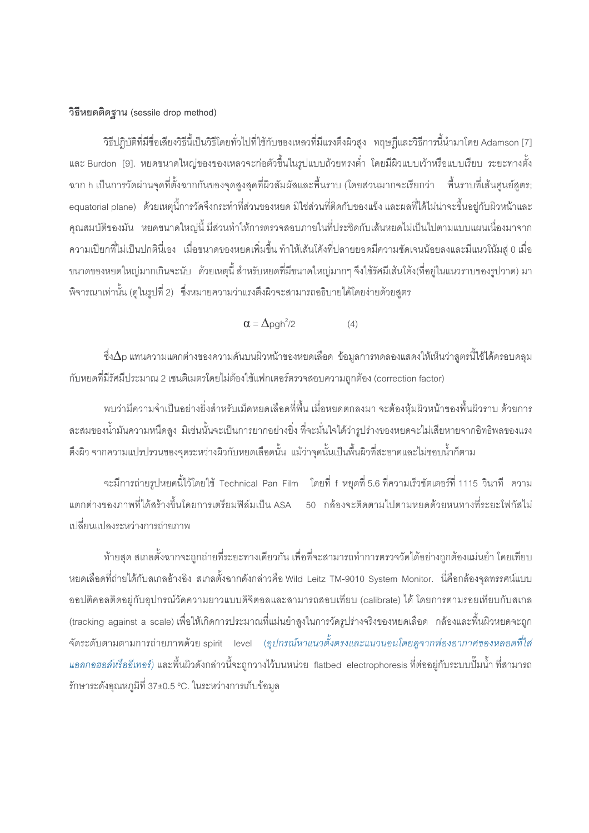### วิธีหยดติดฐาน (sessile drop method)

วิธีปฏิบัติที่มีชื่อเสียงวิธีนี้เป็นวิธีโดยทั่วไปที่ใช้กับของเหลวที่มีแรงตึงผิวสูง ทฤษฎีและวิธีการนี้นำมาโดย Adamson [7] และ Burdon [9]. หยดขนาดใหญ่ของของเหลวจะก่อตัวขึ้นในรูปแบบถ้วยทรงต่ำ โดยมีผิวแบบเว้าหรือแบบเรียบ ระยะทางตั้ง ฉาก h เป็นการวัดผ่านจุดที่ตั้งฉากกันของจุดสูงสุดที่ผิวสัมผัสและพื้นราบ (โดยส่วนมากจะเรียกว่า พื้นราบที่เส้นศูนย์สูตร; equatorial plane) ด้วยเหตุนี้การวัดจึงกระทำที่ส่วนของหยด มิใช่ส่วนที่ติดกับของแข็ง และผลที่ได้ไม่น่าจะขึ้นอยู่กับผิวหน้าและ คุณสมบัติของมัน หยดขนาดใหญ่นี้ มีส่วนทำให้การตรวจสอบภายในที่ประชิดกับเส้นหยดไม่เป็นไปตามแบบแผนเนื่องมาจาก ้ ความเปียกที่ไม่เป็นปกตินี่เอง เมื่อขนาดของหยดเพิ่มขึ้น ทำให้เส้นโค้งที่ปลายยอดมีความขัดเจนน้อยลงและมีแนวโน้มสู่ 0 เมื่อ ขนาดของหยดใหญ่มากเกินจะนับ ด้วยเหตุนี้ สำหรับหยดที่มีขนาดใหญ่มากๆ จึงใช้รัศมีเส้นโค้ง(ที่อยู่ในแนวราบของรูปวาด) มา ี พิจารณาเท่านั้น (ดูในรูปที่ 2) ซึ่งหมายความว่าแรงตึงผิวจะสามารถอธิบายได้โดยง่ายด้วยสูตร

$$
\alpha = \Delta \text{pgh}^2/2 \tag{4}
$$

ซึ่ง∆p แทนความแตกต่างของความดันบนผิวหน้าของหยดเลือด ข้อมูลการทดลองแสดงให้เห็นว่าสูตรนี้ใช้ได้ครอบคลุม ้กับหยดที่มีรัศมีประมาณ 2 เซนติเมตรโดยไม่ต้องใช้แฟกเตอร์ตรวจสอบความถกต้อง (correction factor)

พบว่ามีความจำเป็นอย่างยิ่งสำหรับเม็ดหยดเลือดที่พื้น เมื่อหยดตกลงมา จะต้องหุ้มผิวหน้าของพื้นผิวราบ ด้วยการ ้สะสมของน้ำมันความหนืดสูง มิเช่นนั้นจะเป็นการยากอย่างยิ่ง ที่จะมั่นใจได้ว่ารูปร่างของหยดจะไม่เสียหายจากอิทธิพลของแรง ตึงผิว จากความแปรปรวนของจุดระหว่างผิวกับหยดเลือดนั้น แม้ว่าจุดนั้นเป็นพื้นผิวที่สะอาดและไม่ชอบน้ำก็ตาม

จะมีการถ่ายรปหยดนี้ไว้โดยใช้ Technical Pan Film โดยที่ f หยดที่ 5.6 ที่ความเร็วชัตเตอร์ที่ 1115 วินาที ความ แตกต่างของภาพที่ได้สร้างขึ้นโดยการเตรียมฟิล์มเป็น ASA – 50 กล้องจะติดตามไปตามหยุดด้วยหนทางที่ระยะโฟกัสไม่ เปลี่ยนแปลงระหว่างการถ่ายภาพ

้ ท้ายสุด สเกลตั้งฉากจะถูกถ่ายที่ระยะทางเดียวกัน เพื่อที่จะสามารถทำการตรวจวัดได้อย่างถูกต้องแม่นยำ โดยเทียบ หยดเลือดที่ถ่ายได้กับสเกลอ้างอิง สเกลตั้งฉากดังกล่าวคือ Wild Leitz TM-9010 System Monitor. นี่คือกล้องจุลทรรศน์แบบ ออปติคอลติดอยู่กับอุปกรณ์วัดความยาวแบบดิจิตอลและสามารถสอบเทียบ (calibrate) ได้ โดยการตามรอยเทียบกับสเกล (tracking against a scale) เพื่อให้เกิดการประมาณที่แม่นยำสูงในการวัดรูปร่างจริงของหยดเลือด กล้องและพื้นผิวหยดจะถูก ี จัดระดับตามตามการถ่ายภาพด้วย spirit level (อุปกรณ์หาแนวตั้งตรงและแนวนอนโดยดูจากฟองอากาศของหลอดที่ใส่ แอลกอฮอล์หรืออีเทอร์) และพื้นผิวดังกล่าวนี้จะถูกวางไว้บนหน่วย flatbed electrophoresis ที่ต่ออยู่กับระบบปั้มน้ำ ที่สามารถ รักษาระดังอุณหภูมิที่ 37±0.5 °C. ในระหว่างการเก็บข้อมูล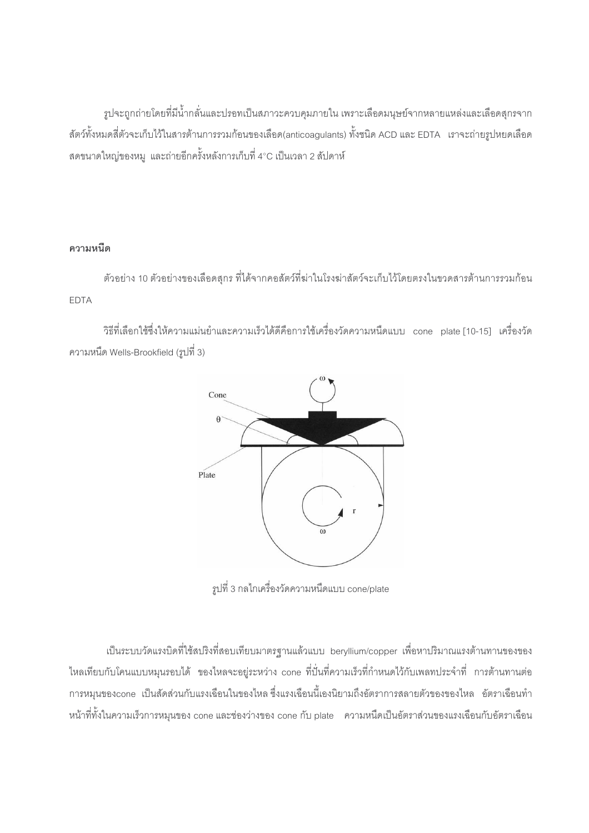้รูปจะถูกถ่ายโดยที่มีน้ำกลั่นและปรอทเป็นสภาวะควบคุมภายใน เพราะเลือดมนุษย์จากหลายแหล่งและเลือดสุกรจาก สัตว์ทั้งหมดสี่ตัวจะเก็บไว้ในสารต้านการรวมก้อนของเลือด(anticoagulants) ทั้งชนิด ACD และ EDTA เราจะถ่ายรูปหยดเลือด สดขนาดใหญ่ของหมู และถ่ายอีกครั้งหลังการเก็บที่ 4°C เป็นเวลา 2 สัปดาห์

### ความหนืด

ตัวอย่าง 10 ตัวอย่างของเลือดสกร ที่ได้จากคอสัตว์ที่ฆ่าในโรงฆ่าสัตว์จะเก็บไว้โดยตรงในขวดสารต้านการรวมก้อน **FDTA** 

้วิธีที่เลือกใช้ซึ่งให้ความแม่นยำและความเร็วได้ดีคือการใช้เครื่องวัดความหนืดแบบ cone plate [10-15] เครื่องวัด ความหนืด Wells-Brookfield (รปที่ 3)



รูปที่ 3 กลไกเครื่องวัดความหนืดแบบ cone/plate

เป็นระบบวัดแรงบิดที่ใช้สปริงที่สอบเทียบมาตรฐานแล้วแบบ beryllium/copper เพื่อหาปริมาณแรงต้านทานของของ ใหลเทียบกับโคนแบบหมุนรอบได้ ของไหลจะอยู่ระหว่าง cone ที่บั้นที่ความเร็วที่กำหนดไว้กับเพลทประจำที่ การต้านทานต่อ ิการหมนของcone เป็นสัดส่วนกับแรงเฉื่อนในของไหล ซึ่งแรงเฉื่อนนี้เองนิยามถึงอัตราการสลายตัวของของไหล อัตราเฉื่อนทำ หน้าที่ทั้งในความเร็วการหมุนของ cone และช่องว่างของ cone กับ plate ความหนืดเป็นอัตราส่วนของแรงเฉื่อนกับอัตราเฉื่อน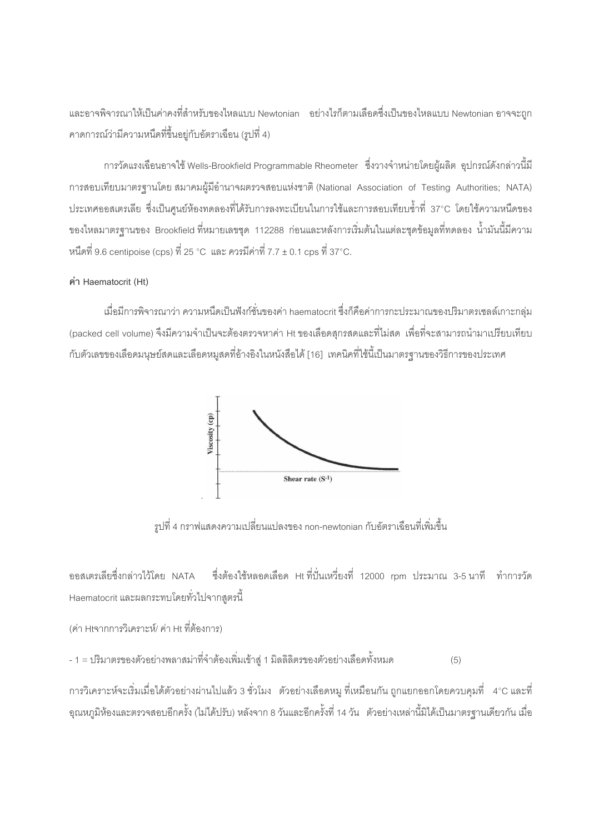และอาจพิจารณาให้เป็นค่าคงที่สำหรับของไหลแบบ Newtonian อย่างไรก็ตามเลือดซึ่งเป็นของไหลแบบ Newtonian อาจจะถก ์ คาดการณ์ว่ามีความหนืดที่ขึ้นอยู่กับอัตราเฉื่อน (รูปที่ 4)

ิ การวัดแรงเฉื่อนอาจใช้ Wells-Brookfield Programmable Rheometer ซึ่งวางจำหน่ายโดยผู้ผลิต อุปกรณ์ดังกล่าวนี้มี การสอบเทียบมาตรฐานโดย สมาคมผู้มีอำนาจผตรวจสอบแห่งชาติ (National Association of Testing Authorities; NATA) ประเทศออสเตรเลีย ซึ่งเป็นศูนย์ห้องทดลองที่ได้รับการลงทะเบียนในการใช้และการสอบเทียบซ้ำที่ 37°C โดยใช้ความหนืดของ ของไหลมาตรฐานของ Brookfield ที่หมายเลขชุด 112288 ก่อนและหลังการเริ่มต้นในแต่ละชุดข้อมูลที่ทดลอง น้ำมันนี้มีความ หนืดที่ 9.6 centipoise (cps) ที่ 25 °C และ ควรมีค่าที่ 7.7 ± 0.1 cps ที่ 37°C.

### ค่า Haematocrit (Ht)

เมื่อมีการพิจารณาว่า ความหนืดเป็นฟังก์ชั่นของค่า haematocrit ซึ่งก็คือค่าการกะประมาณของปริมาตรเซลล์เกาะกล่ม (packed cell volume) จึงมีความจำเป็นจะต้องตรวจหาค่า Ht ของเลือดสกรสดและที่ไม่สด เพื่อที่จะสามารถนำมาเปรียบเทียบ ้กับตัวเลขของเลือดมนุษย์สดและเลือดหมูสดที่อ้างอิงในหนังสือได้ [16] เทคนิคที่ใช้นี้เป็นมาตรฐานของวิธีการของประเทศ



ิ รปที่ 4 กราฟแสดงความเปลี่ยนแปลงของ non-newtonian กับอัตราเฉือนที่เพิ่มขึ้น

คคสเตรเลียซึ่งกล่าวไว้โดย NATA ซึ่งต้องใช้หลอดเลือด Ht1ที่ปั่นเหวี่ยงที่ 12000 rpm ประมาณ 3-5.นาที ทำการวัด Haematocrit และผลกระทบโดยทั่วไปจากสูตรนี้

```
(ค่า Htจากการวิเคราะห์/ ค่า Ht ที่ต้องการ)
```
- 1 = ปริมาตรของตัวอย่างพลาสม่าที่จำต้องเพิ่มเข้าสู่ 1 มิลลิลิตรของตัวอย่างเลือดทั้งหมด  $(5)$ 

การวิเคราะห์จะเริ่มเมื่อได้ตัวอย่างผ่านไปแล้ว 3 ชั่วโมง ตัวอย่างเลือดหมู ที่เหมือนกัน ถูกแยกออกโดยควบคุมที่ 4°C และที่ ่ อุณหภูมิห้องและตรวจสอบอีกครั้ง (ไม่ได้ปรับ) หลังจาก 8 วันและอีกครั้งที่ 14 วัน ตัวอย่างเหล่านี้มิได้เป็นมาตรฐานเดียวกัน เมื่อ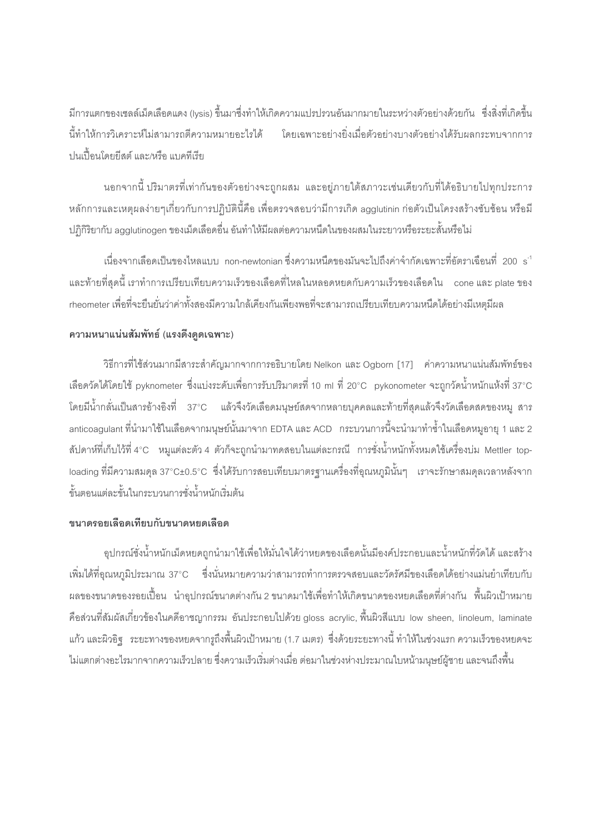้มีการแตกของเซลล์เม็ดเลือดแดง (Iysis) ขึ้นมาซึ่งทำให้เกิดความแปรปรวนอันมากมายในระหว่างตัวอย่างด้วยกัน - ซึ่งสิ่งที่เกิดขึ้น นี้ทำให้การวิเคราะห์ไม่สามารถตีความหมายคะไรได้ โดยเฉพาะคย่างยิ่งเมื่อตัวคย่างบางตัวคย่างได้รับผลกระทบจากการ าในเปื้อนโดยยีสต์ และ/หรือ แบคทีเรีย

นอกจากนี้ ปริมาตรที่เท่ากันของตัวอย่างจะถูกผสม และอยู่ภายใต้สภาวะเช่นเดียวกับที่ได้อธิบายไปทุกประการ หลักการและเหตุผลง่ายๆเกี่ยวกับการปฏิบัตินี้คือ เพื่อตรวจสอบว่ามีการเกิด agglutinin ก่อตัวเป็นโครงสร้างซับซ้อน หรือมี ปฏิกิริยากับ agglutinogen ของเม็ดเลือดอื่น อันทำให้มีผลต่อความหนืดในของผสมในระยาวหรือระยะสั้นหรือไม่

้<br>เนื่องจากเลือดเป็นของไหลแบบ non-newtonian ซึ่งความหนืดของมันจะไปถึงค่าจำกัดเฉพาะที่อัตราเฉือนที่ 200 s $^{\text{-}1}$ และท้ายที่สุดนี้ เราทำการเปรียบเทียบความเร็วของเลือดที่ไหลในหลอดหยดกับความเร็วของเลือดใน cone และ plate ของ rheometer เพื่อที่จะยืนยั่นว่าค่าทั้งสองมีความใกล้เคียงกันเพียงพอที่จะสามารถเปรียบเทียบความหนืดได้อย่างมีเหตมีผล

### ความหนาแน่นสัมพัทธ์ (แรงดึงดูดเฉพาะ)

้วิธีการที่ใช้ส่วนมากมีสาระสำคัญมากจากการอธิบายโดย Nelkon และ Ogborn [17] ค่าความหนาแน่นสัมพัทธ์ของ เลือดวัดได้โดยใช้ pyknometer ซึ่งแบ่งระดับเพื่อการรับปริมาตรที่ 10 ml ที่ 20°C pykonometer จะถูกวัดน้ำหนักแห้งที่ 37°C โดยมีน้ำกลั่นเป็นสารอ้างอิงที่ 37°C แล้วจึงวัดเลือดมนุษย์สดจากหลายบุคคลและท้ายที่สุดแล้วจึงวัดเลือดสดของหมู สาร anticoagulant ที่นำมาใช้ในเลือดจากมนุษย์นั้นมาจาก EDTA และ ACD กระบวนการนี้จะนำมาทำซ้ำในเลือดหมูอายุ 1 และ 2 สัปดาห์ที่เก็บไว้ที่ 4°C หมูแต่ละตัว 4 ตัวก็จะถูกนำมาทดสอบในแต่ละกรณี การชั่งน้ำหนักทั้งหมดใช้เครื่องบ่ม Mettler toploading ที่มีความสมดุล 37°C±0.5°C ซึ่งได้รับการสอบเทียบมาตรฐานเครื่องที่อุณหภูมินั้นๆ เราจะรักษาสมดุลเวลาหลังจาก ขั้นตอนแต่ละขั้นในกระบวนการชั่งน้ำหนักเริ่มต้น

### ขนาดรอยเลือดเทียบกับขนาดหยดเลือด

้อุปกรณ์ชั่งน้ำหนักเม็ดหยดถูกนำมาใช้เพื่อให้มั่นใจได้ว่าหยดของเลือดนั้นมีองค์ประกอบและน้ำหนักที่วัดได้ และสร้าง เพิ่มได้ที่อุณหภูมิประมาณ 37°C ซึ่งนั่นหมายความว่าสามารถทำการตรวจสอบและวัดรัศมีของเลือดได้อย่างแม่นยำเทียบกับ ผลของขนาดของรอยเปื้อน นำอุปกรณ์ขนาดต่างกัน 2 ขนาดมาใช้เพื่อทำให้เกิดขนาดของหยดเลือดที่ต่างกัน พื้นผิวเป้าหมาย คือส่วนที่ส้มผัสเกี่ยวข้องในคดีอาชญากรรม อันประกอบไปด้วย gloss acrylic, พื้นผิวสีแบบ low sheen, linoleum, laminate แก้ว และผิวอิฐ ระยะทางของหยดจากรูถึงพื้นผิวเป้าหมาย (1.7 เมตร) ซึ่งด้วยระยะทางนี้ ทำให้ในช่วงแรก ความเร็วของหยดจะ ไม่แตกต่างอะไรมากจากความเร็วปลาย ซึ่งความเร็วเริ่มต่างเมื่อ ต่อมาในช่วงห่างประมาณใบหน้ามนษย์ผ้ชาย และจนถึงพื้น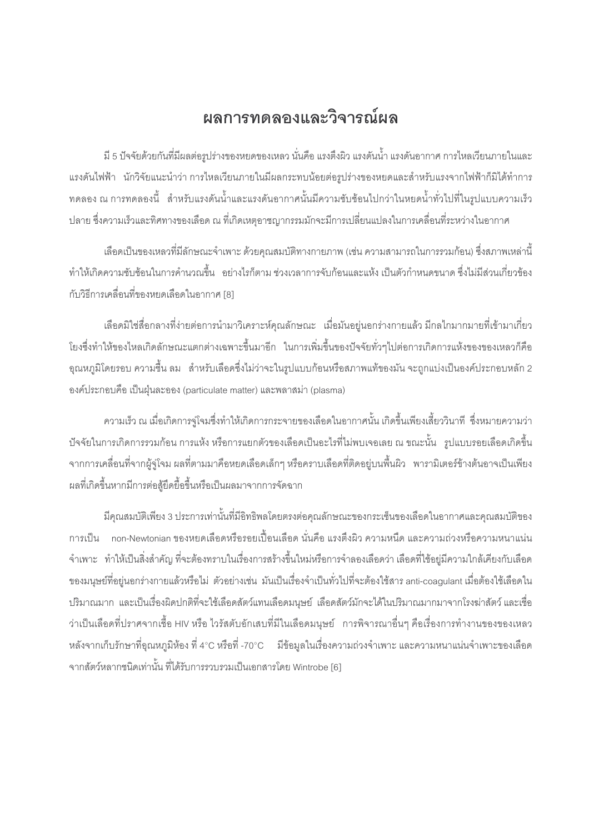## ผลการทดลองและวิจารณ์ผล

้มี 5 ปัจจัยด้วยกันที่มีผลต่อรูปร่างของหยดของเหลว นั่นคือ แรงตึงผิว แรงดันน้ำ แรงดันอากาศ การไหลเวียนภายในและ แรงดันไฟฟ้า นักวิจัยแนะนำว่า การไหลเวียนภายในมีผลกระทบน้อยต่อรูปร่างของหยดและสำหรับแรงจากไฟฟ้าก็มิได้ทำการ ทดลอง ณ การทดลองนี้ สำหรับแรงดันน้ำและแรงดันอากาศนั้นมีความซับซ้อนไปกว่าในหยดน้ำทั่วไปที่ในรูปแบบความเร็ว ปลาย ซึ่งความเร็วและทิศทางของเลือด ณ ที่เกิดเหตุอาชญากรรมมักจะมีการเปลี่ยนแปลงในการเคลื่อนที่ระหว่างในอากาศ

เลือดเป็นของเหลวที่มีลักษณะจำเพาะ ด้วยคุณสมบัติทางกายภาพ (เช่น ความสามารถในการรวมก้อน) ซึ่งสภาพเหล่านี้ ้ทำให้เกิดความซับซ้อนในการคำนวณขึ้น อย่างไรก็ตาม ช่วงเวลาการจับก้อนและแห้ง เป็นตัวกำหนดขนาด ซึ่งไม่มีส่วนเกี่ยวข้อง กับวิธีการเคลื่อนที่ของหยดเลือดในอากาศ [8]

เลือดมิใช่สื่อกลางที่ง่ายต่อการนำมาวิเคราะห์คุณลักษณะ เมื่อมันอยู่นอกร่างกายแล้ว มีกลไกมากมายที่เข้ามาเกี่ยว โยงซึ่งทำให้ของไหลเกิดลักษณะแตกต่างเฉพาะขึ้นมาอีก ในการเพิ่มขึ้นของปัจจัยทั่วๆไปต่อการเกิดการแห้งของของเหลวก็คือ ้ อุณหภูมิโดยรอบ ความขึ้น ลม สำหรับเลือดซึ่งไม่ว่าจะในรูปแบบก้อนหรือสภาพแท้ของมัน จะถูกแบ่งเป็นองค์ประกอบหลัก 2 องค์ประกอบคือ เป็นฝุ่นละออง (particulate matter) และพลาสม่า (plasma)

้ ความเร็ว ณ เมื่อเกิดการจู่โจมซึ่งทำให้เกิดการกระจายของเลือดในอากาศนั้น เกิดขึ้นเพียงเสี้ยววินาที ซึ่งหมายความว่า ้ ปัจจัยในการเกิดการรวมก้อน การแห้ง หรือการแยกตัวของเลือดเป็นอะไรที่ไม่พบเจอเลย ณ ขณะนั้น รูปแบบรอยเลือดเกิดขึ้น ิจากการเคลื่อนที่จากผู้จู่โจม ผลที่ตามมาคือหยดเลือดเล็กๆ หรือคราบเลือดที่ติดอยู่บนพื้นผิว พารามิเตอร์ข้างต้นอาจเป็นเพียง ผลที่เกิดขึ้นหากมีการต่อส้ยึดยื้อขึ้นหรือเป็นผลมาจากการจัดฉาก

้มีคณสมบัติเพียง 3 ประการเท่านั้นที่มีอิทธิพลโดยตรงต่อคณลักษณะของกระเซ็นของเลือดในอากาศและคณสมบัติของ ี<br>การเป็น non-Newtonian ของหยดเลือดหรือรอยเปื้อนเลือด นั่นคือ แรงตึงผิว ความหนืด และความถ่วงหรือความหนาแน่น จำเพาะ ทำให้เป็นสิ่งสำคัญ ที่จะต้องทราบในเรื่องการสร้างขึ้นใหม่หรือการจำลองเลือดว่า เลือดที่ใช้อยู่มีความใกล้เคียงกับเลือด ของมนุษย์ที่อยู่นอกร่างกายแล้วหรือไม่ ตัวอย่างเช่น มันเป็นเรื่องจำเป็นทั่วไปที่จะต้องใช้สาร anti-coagulant เมื่อต้องใช้เลือดใน ้ ปริมาณมาก และเป็นเรื่องผิดปกติที่จะใช้เลือดสัตว์แทนเลือดมนษย์ เลือดสัตว์มักจะได้ในปริมาณมากมาจากโรงฆ่าสัตว์ และเชื่อ ว่าเป็นเลือดที่ปราศจากเชื้อ HIV หรือ ไวรัสตับอักเสบที่มีในเลือดมนุษย์ การพิจารณาอื่นๆ คือเรื่องการทำงานของของเหลว หลังจากเก็บรักษาที่อุณหภูมิห้อง ที่ 4°C หรือที่ -70°C มีข้อมูลในเรื่องความถ่วงจำเพาะ และความหนาแน่นจำเพาะของเลือด จากสัตว์หลากชนิดเท่านั้น ที่ได้รับการรวบรวมเป็นเอกสารโดย Wintrobe [6]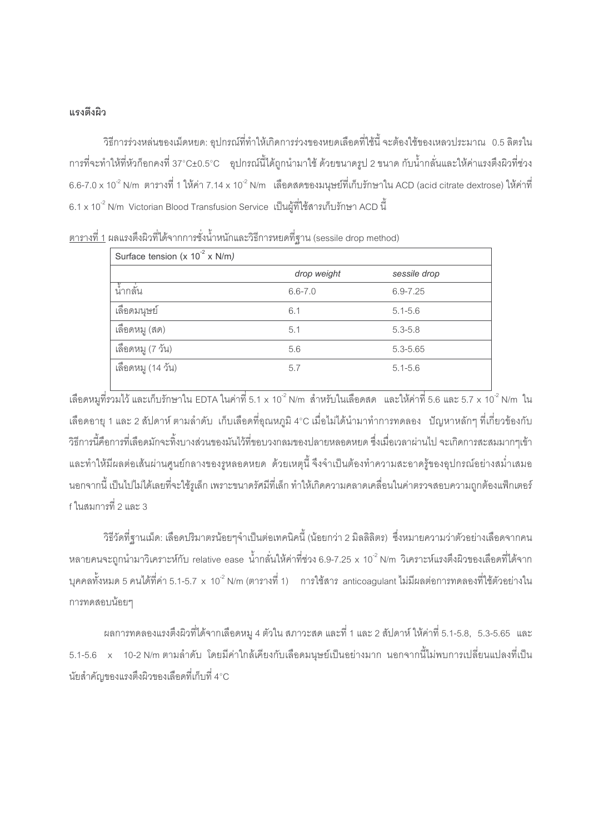### แรงตึงผิว

้วิธีการร่วงหล่นของเม็ดหยด: อปกรณ์ที่ทำให้เกิดการร่วงของหยดเลือดที่ใช้นี้ จะต้องใช้ของเหลวประมาณ 0.5 ลิตรใน การที่จะทำให้ที่หัวก็อกคงที่ 37°C±0.5°C อุปกรณ์นี้ได้ถูกนำมาใช้ ด้วยขนาดรูป 2 ขนาด กับน้ำกลั่นและให้ค่าแรงตึงผิวที่ช่วง  $6.6$ -7.0 x 10 $^2$  N/m ตารางที่ 1 ให้ค่า 7.14 x 10 $^2$  N/m เลือดสดของมนุษย์ที่เก็บรักษาใน ACD (acid citrate dextrose) ให้ค่าที่  $6.1 \times 10^{2}$  N/m Victorian Blood Transfusion Service เป็นผู้ที่ใช้สารเก็บรักษา ACD นี้

| Surface tension (x $10^2$ x N/m) |             |              |
|----------------------------------|-------------|--------------|
|                                  | drop weight | sessile drop |
| น้ำกลั่น                         | $6.6 - 7.0$ | $6.9 - 7.25$ |
| เลือดมนุษย์                      | 6.1         | $5.1 - 5.6$  |
| เลือดหมู (สด)                    | 5.1         | $5.3 - 5.8$  |
| เลือดหมู (7 วัน)                 | 5.6         | 5.3-5.65     |
| เลือดหมู (14 วัน)                | 5.7         | $5.1 - 5.6$  |

<u>ตารางที่ 1</u> ผลแรงตึงผิวที่ได้จากการชั่งน้ำหนักและวิธีการหยดที่ฐาน (sessile drop method)

<u>|-</u><br>เลือดหมูที่รวมไว้ และเก็บรักษาใน EDTA ในค่าที่ 5.1 x 10<sup>-2</sup> N/m สำหรับในเลือดสด และให้ค่าที่ 5.6 และ 5.7 x 10<sup>-2</sup> N/m ใน เลือดอายุ 1 และ 2 สัปดาห์ ตามลำดับ เก็บเลือดที่อุณหภูมิ 4°C เมื่อไม่ได้นำมาทำการทดลอง ปัญหาหลักๆ ที่เกี่ยวข้องกับ วิธีการนี้คือการที่เลือดมักจะทิ้งบางส่วนของมันไว้ที่ขอบวงกลมของปลายหลอดหยด ซึ่งเมื่อเวลาผ่านไป จะเกิดการสะสมมากๆเข้า และทำให้มีผลต่อเส้นผ่านศูนย์กลางของรูหลอดหยด ด้วยเหตุนี้ จึงจำเป็นต้องทำความสะอาดรู้ของอุปกรณ์อย่างสม่ำเสมอ นอกจากนี้ เป็นไปไม่ได้เลยที่จะใช้รูเล็ก เพราะขนาดรัศมีที่เล็ก ทำให้เกิดความคลาดเคลื่อนในค่าตรวจสอบความถูกต้องแฟ็กเตอร์ f ในสมการที่ 2 และ 3

้วิธีวัดที่ฐานเม็ด: เลือดปริมาตรน้อยๆจำเป็นต่อเทคนิคนี้ (น้อยกว่า 2 มิลลิลิตร) ซึ่งหมายความว่าตัวอย่างเลือดจากคน หลายคนจะถกนำมาวิเคราะห์กับ relative ease น้ำกลั่นให้ค่าที่ช่วง 6.9-7.25 x 10 <sup>2</sup> N/m วิเคราะห์แรงตึงผิวของเลือดที่ได้จาก บคคลทั้งหมด 5 คนได้ที่ค่า 5.1-5.7 x 10 <sup>2</sup> N/m (ตารางที่ 1) การใช้สาร anticoagulant ไม่มีผลต่อการทดลองที่ใช้ตัวอย่างใน การทดสอบน้อยๆ

ี่ ผลการทดลองแรงตึ้งผิวที่ได้จากเลือดหมู 4 ตัวใน สภาวะสด และที่ 1 และ 2 สัปดาห์ ให้ค่าที่ 5.1-5.8, 5.3-5.65 และ 5.1-5.6 x 10-2 N/m ตามลำดับ โดยมีค่าใกล้เคียงกับเลือดมนุษย์เป็นอย่างมาก นอกจากนี้ไม่พบการเปลี่ยนแปลงที่เป็น นัยสำคัญของแรงตึ่งผิวของเลือดที่เก็บที่ 4°C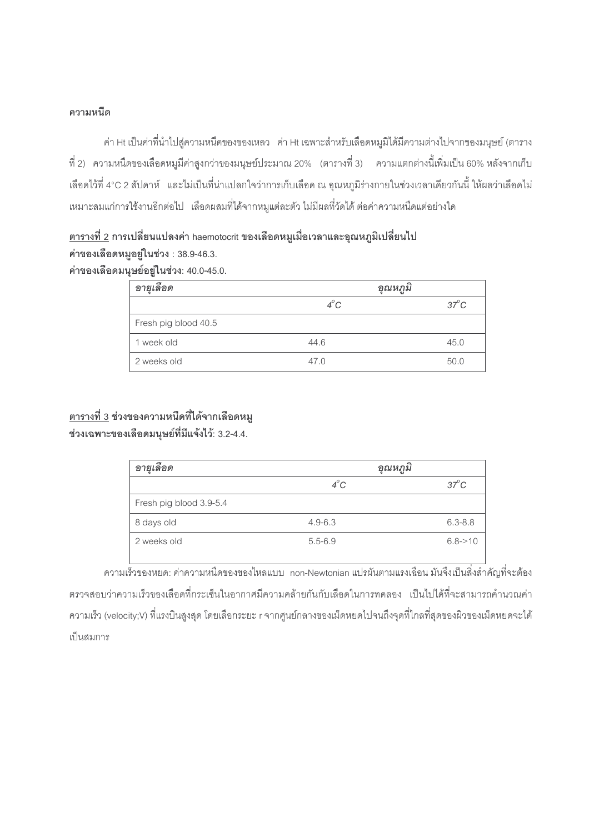### ความหนืด

ค่า Ht เป็นค่าที่นำไปสู่ความหนืดของของเหลว ค่า Ht เฉพาะสำหรับเลือดหมูมิได้มีความต่างไปจากของมนุษย์ (ตาราง ี ที่ 2) ความหนืดของเลือดหมูมีค่าสูงกว่าของมนุษย์ประมาณ 20% (ตารางที่ 3) ความแตกต่างนี้เพิ่มเป็น 60% หลังจากเก็บ เลือดไว้ที่ 4°C 2 สัปดาห์ และไม่เป็นที่น่าแปลกใจว่าการเก็บเลือด ณ อุณหภูมิร่างกายในช่วงเวลาเดียวกันนี้ ให้ผลว่าเลือดไม่ เหมาะสมแก่การใช้งานอีกต่อไป เลือดผสมที่ได้จากหมูแต่ละตัว ไม่มีผลที่วัดได้ ต่อค่าความหนืดแต่อย่างใด

<u>ตารางที่ 2</u> การเปลี่ยนแปลงค่า haemotocrit ของเลือดหมูเมื่อเวลาและอุณหภูมิเปลี่ยนไป ค่าของเลือดหมูอยู่ในช่วง : 38.9-46.3. ค่าของเลือดมนุษย์อยู่ในช่วง: 40.0-45.0.

| อายเลือด             | อณหภมิ      | QI             |
|----------------------|-------------|----------------|
|                      | $4^\circ$ C | $37^{\circ}$ C |
| Fresh pig blood 40.5 |             |                |
| 1 week old           | 44.6        | 45.0           |
| 2 weeks old          | 47.0        | 50.0           |

### <u>ตารางที่ 3</u> ช่วงของความหนืดที่ได้จากเลือดหมู ช่วงเฉพาะของเลือดมนษย์ที่มีแจ้งไว้: 3.2-4.4.

| อายเลือด                | อณหภมิ      | Γq.            |
|-------------------------|-------------|----------------|
|                         | $4^\circ$ C | $37^{\circ}$ C |
| Fresh pig blood 3.9-5.4 |             |                |
| 8 days old              | $4.9 - 6.3$ | $6.3 - 8.8$    |
| 2 weeks old             | $5.5 - 6.9$ | $6.8 - > 10$   |

้ตรวจสอบว่าความเร็วของเลือดที่กระเซ็นในอากาศมีความคล้ายกันกับเลือดในการทดลอง เป็นไปได้ที่จะสามารถคำนวณค่า ี ความเร็ว (velocity;V) ที่แรงบินสูงสุด โดยเลือกระยะ r จากศูนย์กลางของเม็ดหยดไปจนถึงจุดที่ไกลที่สุดของผิวของเม็ดหยดจะได้ เป็นสมการ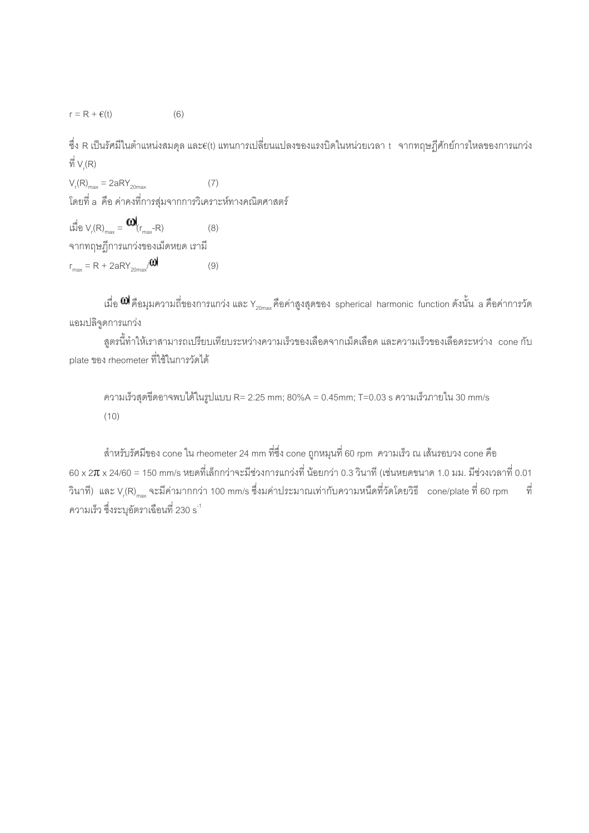$r = R + \epsilon(t)$  $(6)$ 

์ ซึ่ง R เป็นรัศมีในตำแหน่งสมดุล และ€(t) แทนการเปลี่ยนแปลงของแรงบิดในหน่วยเวลา t\_ จากทฤษฎีศักย์การไหลของการแกว่ง  $\overrightarrow{\mathcal{W}}$  V (R)

 $V_r(R)_{max} = 2aRY_{20max}$  $(7)$ โดยที่ a คือ ค่าคงที่การสมจากการวิเคราะห์ทางคณิตศาสตร์

 $\lim_{k \to \infty} \frac{1}{k!} \nabla_{\mu}(R)_{\max} = \lim_{k \to \infty} \frac{1}{k!} \nabla_{\mu}(R)_{\max}$  $(8)$ จากทฤษฎีการแกว่งของเม็ดหยด เรามี  $r_{\text{max}} = R + 2aRY_{\text{20max}}/2$  $(9)$ 

เมื่อ <sup>00</sup> คือมุมความถี่ของการแกว่ง และ Y<sub>20max</sub> คือค่าสูงสุดของ spherical harmonic function ดังนั้น a คือค่าการวัด แอมปลิจูดการแกว่ง

ิสตรนี้ทำให้เราสามารถเปรียบเทียบระหว่างความเร็วของเลือดจากเม็ดเลือด และความเร็วของเลือดระหว่าง cone กับ plate ของ rheometer ที่ใช้ในการวัดได้

ความเร็วสุดขีดอาจพบได้ในรูปแบบ R= 2.25 mm; 80%A = 0.45mm; T=0.03 s ความเร็วภายใน 30 mm/s  $(10)$ 

้ สำหรับรัศมีของ cone ใน rheometer 24 mm ที่ซึ่ง cone ถูกหมุนที่ 60 rpm ความเร็ว ณ เส้นรอบวง cone คือ  $60 \times 2\pi \times$  24/60 = 150 mm/s หยดที่เล็กกว่าจะมีช่วงการแกว่งที่ น้อยกว่า 0.3 วินาที (เช่นหยดขนาด 1.0 มม. มีช่วงเวลาที่ 0.01 วินาที) และ V,(R)<sub>max</sub> จะมีค่ามากกว่า 100 mm/s ซึ่งมค่าประมาณเท่ากับความหนืดที่วัดโดยวิธี cone/plate ที่ 60 rpm ที่ ความเร็ว ซึ่งระบุอัตราเฉื่อนที่ 230 s<sup>-1</sup>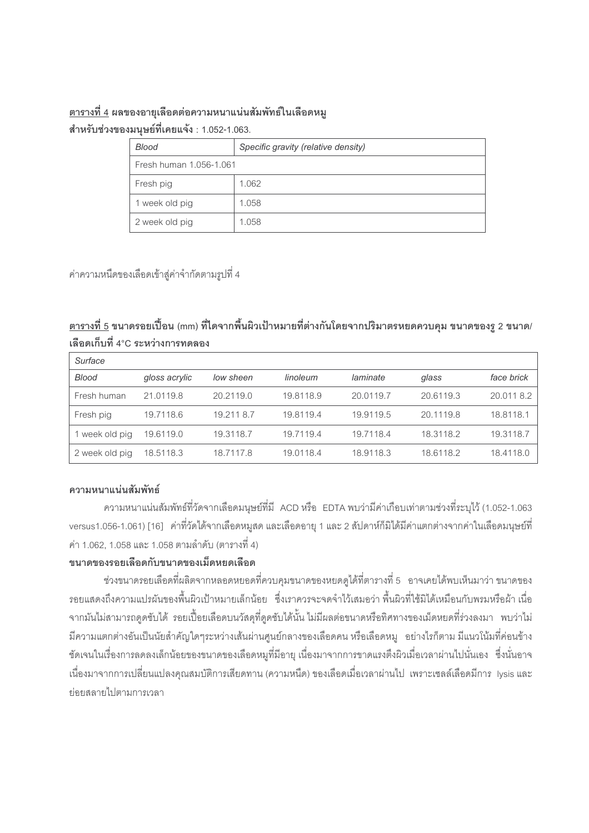## <u>ตารางที่ 4</u> ผลของอายุเลือดต่อความหนาแน่นสัมพัทธ์ในเลือดหมู สำหรับช่วงของมนุษย์ที่เคยแจ้ง : 1.052-1.063.

| <b>Blood</b>            | Specific gravity (relative density) |  |
|-------------------------|-------------------------------------|--|
| Fresh human 1,056-1,061 |                                     |  |
| Fresh pig               | 1.062                               |  |
| 1 week old pig          | 1.058                               |  |
| 2 week old pig          | 1.058                               |  |

้ค่าความหนืดของเลือดเข้าสู่ค่าจำกัดตามรูปที่ 4

### <u>ตารางที่ 5</u> ขนาดรอยเปื้อน (mm) ที่ไดจากพื้นผิวเป้าหมายที่ต่างกันโดยจากปริมาตรหยดควบคุม ขนาดของรู 2 ขนาด/ เลือดเก็บที่ 4°C ระหว่างการทดลอง

| Surface        |               |           |           |           |           |            |
|----------------|---------------|-----------|-----------|-----------|-----------|------------|
| <b>Blood</b>   | gloss acrylic | low sheen | linoleum  | laminate  | glass     | face brick |
| Fresh human    | 21.0119.8     | 20.2119.0 | 19.8118.9 | 20.0119.7 | 20.6119.3 | 20.0118.2  |
| Fresh pig      | 19.7118.6     | 19.2118.7 | 19.8119.4 | 19.9119.5 | 20.1119.8 | 18.8118.1  |
| 1 week old pig | 19.6119.0     | 19.3118.7 | 19.7119.4 | 19.7118.4 | 18.3118.2 | 19.3118.7  |
| 2 week old pig | 18.5118.3     | 18.7117.8 | 19.0118.4 | 18.9118.3 | 18.6118.2 | 18.4118.0  |

### ความหนาแน่นสัมพัทธ์

ี ความหนาแน่นสัมพัทธ์ที่วัดจากเลือดมนุษย์ที่มี ACD หรือ EDTA พบว่ามีค่าเกือบเท่าตามช่วงที่ระบุไว้ (1.052-1.063 versus1.056-1.061) [16] ค่าที่วัดได้จากเลือดหมูสด และเลือดอายุ 1 และ 2 สัปดาห์ก็มิได้มีค่าแตกต่างจากค่าในเลือดมนุษย์ที่ ค่า 1.062, 1.058 และ 1.058 ตามลำดับ (ตารางที่ 4)

### ขนาดของรอยเลือดกับขนาดของเม็ดหยดเลือด

ช่วงขนาดรอยเลือดที่ผลิตจากหลอดหยอดที่ควบคุมขนาดของหยดดูได้ที่ตารางที่ 5 อาจเคยได้พบเห็นมาว่า ขนาดของ ้ รอยแสดงถึงความแปรผันของพื้นผิวเป้าหมายเล็กน้อย - ซึ่งเราควรจะจดจำไว้เสมอว่า พื้นผิวที่ใช้มิได้เหมือนกับพรมหรือผ้า เนื่อ จากมันไม่สามารถดูดซับได้ รอยเปื้อยเลือดบนวัสดุที่ดูดซับได้นั้นไม่มีผลต่อขนาดหรือทิศทางของเม็ดหยดที่ร่วงลงมา พบว่าไม่ ้มีความแตกต่างอันเป็นนัยสำคัญใดๆระหว่างเส้นผ่านศูนย์กลางของเลือดคน หรือเลือดหมู อย่างไรก็ตาม มีแนวโน้มที่ค่อนข้าง ้ชัดเจนในเรื่องการลดลงเล็กน้อยของขนาดของเลือดหมที่มีอาย เนื่องมาจากการขาดแรงตึงผิวเมื่อเวลาผ่านไปนั่นเอง ซึ่งนั่นอาจ ้<br>เนื่องมาจากการเปลี่ยนแปลงคุณสมบัติการเสียดทาน (ความหนืด) ของเลือดเมื่อเวลาผ่านไป เพราะเซลล์เลือดมีการ Iysis และ ย่อยสลายไปตามการเวลา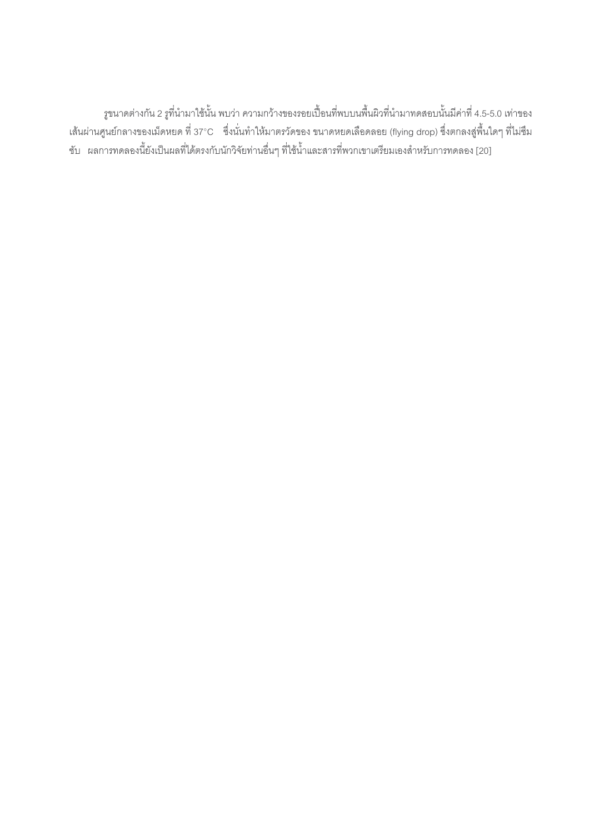รูขนาดต่างกัน 2 รูที่นำมาใช้นั้น พบว่า ความกว้างของรอยเปื้อนที่พบบนพื้นผิวที่นำมาทดสอบนั้นมีค่าที่ 4.5-5.0 เท่าของ ้<br>เส้นผ่านศูนย์กลางของเม็ดหยด ที่ 37°C ซึ่งนั่นทำให้มาตรวัดของ ขนาดหยดเลือดลอย (flying drop) ซึ่งตกลงสู่พื้นใดๆ ที่ไม่ซึม ชับ ผลการทดลองนี้ยังเป็นผลที่ได้ตรงกับนักวิจัยท่านอื่นๆ ที่ใช้น้ำและสารที่พวกเขาเตรียมเองสำหรับการทดลอง [20]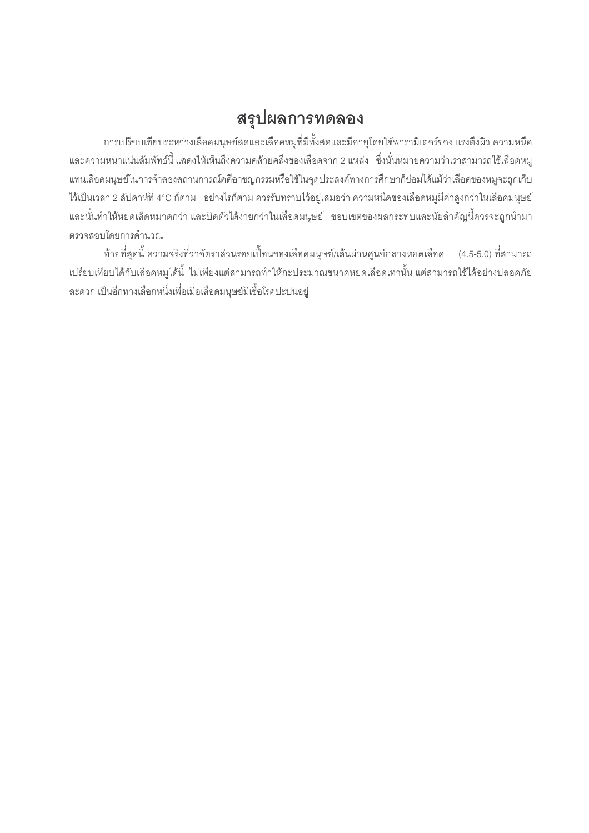## สรุปผลการทดลอง

การเปรียบเทียบระหว่างเลือดมนุษย์สดและเลือดหมูที่มีทั้งสดและมีอายุโดยใช้พารามิเตอร์ของ แรงตึงผิว ความหนืด และความหนาแน่นสัมพัทธ์นี้ แสดงให้เห็นถึงความคล้ายคลึงของเลือดจาก 2 แหล่ง ซึ่งนั่นหมายความว่าเราสามารถใช้เลือดหมู แทนเลือดมนุษย์ในการจำลองสถานการณ์คดีอาชญกรรมหรือใช้ในจุดประสงค์ทางการศึกษาก็ย่อมได้แม้ว่าเลือดของหมูจะถูกเก็บ ้ไว้เป็นเวลา 2 สัปดาห์ที่ 4°C ก็ตาม อย่างไรก็ตาม ควรรับทราบไว้อยู่เสมอว่า ความหนืดของเลือดหมูมีค่าสูงกว่าในเลือดมนุษย์ และนั่นทำให้หยดเล็ดหมาดกว่า และบิดตัวได้ง่ายกว่าในเลือดมนุษย์ ขอบเขตของผลกระทบและนัยสำคัญนี้ควรจะถูกนำมา ตรวจสอบโดยการคำนวณ

ท้ายที่สุดนี้ ความจริงที่ว่าอัตราส่วนรอยเปื้อนของเลือดมนุษย์/เส้นผ่านศูนย์กลางหยดเลือด (4.5-5.0) ที่สามารถ เปรียบเทียบได้กับเลือดหมูได้นี้ ไม่เพียงแต่สามารถทำให้กะประมาณขนาดหยดเลือดเท่านั้น แต่สามารถใช้ได้อย่างปลอดภัย สะดวก เป็นอีกทางเลือกหนึ่งเพื่อเมื่อเลือดมนุษย์มีเชื้อโรคปะปนอยู่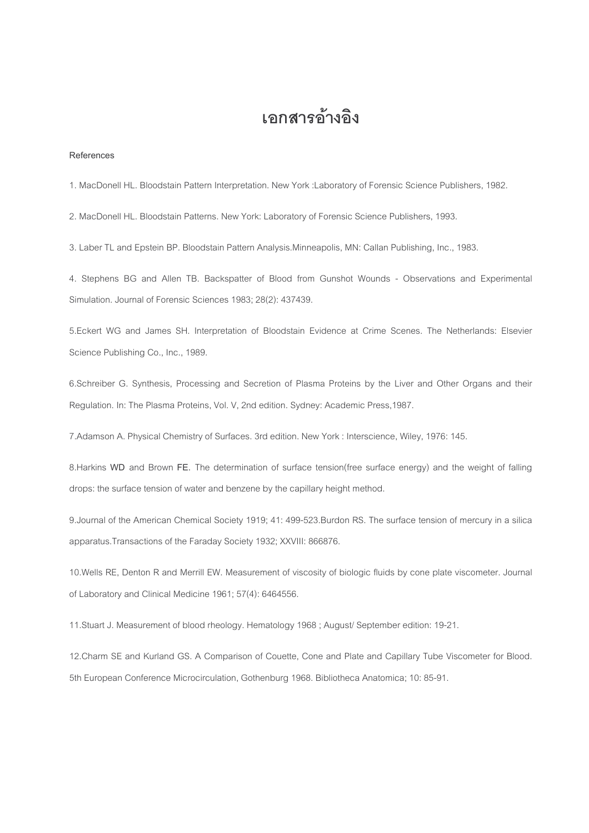## เอกสารอ้างอิง

#### References

1. MacDonell HL. Bloodstain Pattern Interpretation. New York :Laboratory of Forensic Science Publishers, 1982.

2. MacDonell HL. Bloodstain Patterns. New York: Laboratory of Forensic Science Publishers, 1993.

3. Laber TL and Epstein BP. Bloodstain Pattern Analysis. Minneapolis, MN: Callan Publishing, Inc., 1983.

4. Stephens BG and Allen TB. Backspatter of Blood from Gunshot Wounds - Observations and Experimental Simulation. Journal of Forensic Sciences 1983; 28(2): 437439.

5. Eckert WG and James SH. Interpretation of Bloodstain Evidence at Crime Scenes. The Netherlands: Elsevier Science Publishing Co., Inc., 1989.

6.Schreiber G. Synthesis, Processing and Secretion of Plasma Proteins by the Liver and Other Organs and their Regulation. In: The Plasma Proteins, Vol. V, 2nd edition. Sydney: Academic Press, 1987.

7. Adamson A. Physical Chemistry of Surfaces. 3rd edition. New York: Interscience, Wiley, 1976: 145.

8. Harkins WD and Brown FE. The determination of surface tension(free surface energy) and the weight of falling drops: the surface tension of water and benzene by the capillary height method.

9.Journal of the American Chemical Society 1919; 41: 499-523.Burdon RS. The surface tension of mercury in a silica apparatus. Transactions of the Faraday Society 1932; XXVIII: 866876.

10. Wells RE, Denton R and Merrill EW. Measurement of viscosity of biologic fluids by cone plate viscometer. Journal of Laboratory and Clinical Medicine 1961; 57(4): 6464556.

11. Stuart J. Measurement of blood rheology. Hematology 1968; August/ September edition: 19-21.

12. Charm SE and Kurland GS. A Comparison of Couette, Cone and Plate and Capillary Tube Viscometer for Blood. 5th European Conference Microcirculation, Gothenburg 1968. Bibliotheca Anatomica; 10: 85-91.